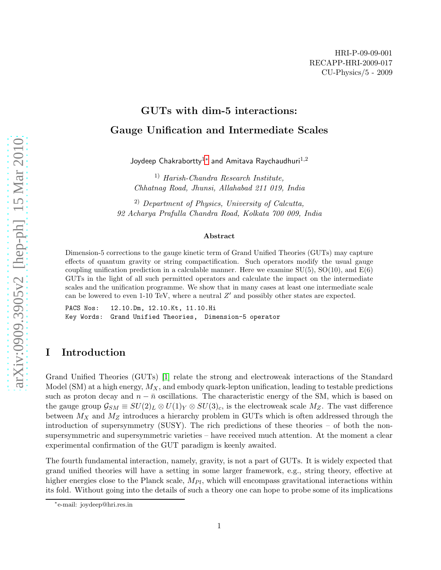# GUTs with dim-5 interactions: Gauge Unification and Intermediate Scales

Joydeep  ${\sf Chakrabortty}^{1\ast}$  and Amitava Raychaudhuri $^{1,2}$ 

1) Harish-Chandra Research Institute, Chhatnag Road, Jhunsi, Allahabad 211 019, India

2) Department of Physics, University of Calcutta, 92 Acharya Prafulla Chandra Road, Kolkata 700 009, India

#### Abstract

Dimension-5 corrections to the gauge kinetic term of Grand Unified Theories (GUTs) may capture effects of quantum gravity or string compactification. Such operators modify the usual gauge coupling unification prediction in a calculable manner. Here we examine  $SU(5)$ ,  $SO(10)$ , and  $E(6)$ GUTs in the light of all such permitted operators and calculate the impact on the intermediate scales and the unification programme. We show that in many cases at least one intermediate scale can be lowered to even 1-10 TeV, where a neutral  $Z'$  and possibly other states are expected.

PACS Nos: 12.10.Dm, 12.10.Kt, 11.10.Hi Key Words: Grand Unified Theories, Dimension-5 operator

# I Introduction

Grand Unified Theories (GUTs) [\[1\]](#page-20-0) relate the strong and electroweak interactions of the Standard Model (SM) at a high energy,  $M_X$ , and embody quark-lepton unification, leading to testable predictions such as proton decay and  $n - \bar{n}$  oscillations. The characteristic energy of the SM, which is based on the gauge group  $\mathcal{G}_{SM} \equiv SU(2)_L \otimes U(1)_Y \otimes SU(3)_c$ , is the electroweak scale  $M_Z$ . The vast difference between  $M_X$  and  $M_Z$  introduces a hierarchy problem in GUTs which is often addressed through the introduction of supersymmetry (SUSY). The rich predictions of these theories – of both the nonsupersymmetric and supersymmetric varieties – have received much attention. At the moment a clear experimental confirmation of the GUT paradigm is keenly awaited.

The fourth fundamental interaction, namely, gravity, is not a part of GUTs. It is widely expected that grand unified theories will have a setting in some larger framework, e.g., string theory, effective at higher energies close to the Planck scale,  $M_{Pl}$ , which will encompass gravitational interactions within its fold. Without going into the details of such a theory one can hope to probe some of its implications

<span id="page-0-0"></span><sup>∗</sup> e-mail: joydeep@hri.res.in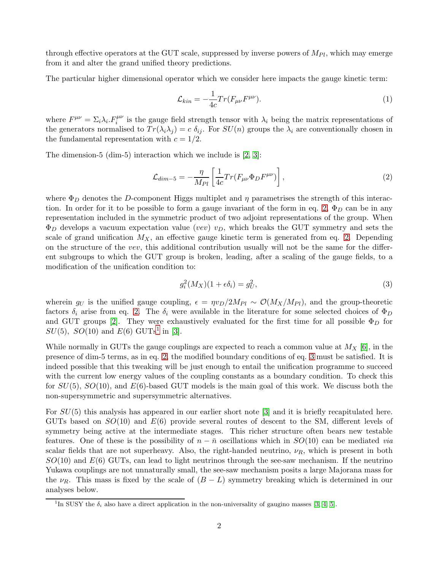through effective operators at the GUT scale, suppressed by inverse powers of  $M_{Pl}$ , which may emerge from it and alter the grand unified theory predictions.

The particular higher dimensional operator which we consider here impacts the gauge kinetic term:

$$
\mathcal{L}_{kin} = -\frac{1}{4c} Tr(F_{\mu\nu}F^{\mu\nu}).
$$
\n(1)

where  $F^{\mu\nu} = \sum_i \lambda_i F_i^{\mu\nu}$  is the gauge field strength tensor with  $\lambda_i$  being the matrix representations of the generators normalised to  $Tr(\lambda_i\lambda_j) = c \delta_{ij}$ . For  $SU(n)$  groups the  $\lambda_i$  are conventionally chosen in the fundamental representation with  $c = 1/2$ .

The dimension-5 (dim-5) interaction which we include is [\[2,](#page-21-0) [3\]](#page-21-1):

<span id="page-1-0"></span>
$$
\mathcal{L}_{dim-5} = -\frac{\eta}{M_{Pl}} \left[ \frac{1}{4c} Tr(F_{\mu\nu} \Phi_D F^{\mu\nu}) \right],\tag{2}
$$

where  $\Phi_D$  denotes the D-component Higgs multiplet and  $\eta$  parametrises the strength of this interac-tion. In order for it to be possible to form a gauge invariant of the form in eq. [2,](#page-1-0)  $\Phi_D$  can be in any representation included in the symmetric product of two adjoint representations of the group. When  $\Phi_D$  develops a vacuum expectation value (vev)  $v_D$ , which breaks the GUT symmetry and sets the scale of grand unification  $M_X$ , an effective gauge kinetic term is generated from eq. [2.](#page-1-0) Depending on the structure of the vev, this additional contribution usually will not be the same for the different subgroups to which the GUT group is broken, leading, after a scaling of the gauge fields, to a modification of the unification condition to:

<span id="page-1-2"></span>
$$
g_i^2(M_X)(1 + \epsilon \delta_i) = g_U^2,\tag{3}
$$

wherein  $g_U$  is the unified gauge coupling,  $\epsilon = \eta v_D/2M_{Pl} \sim \mathcal{O}(M_X/M_{Pl})$ , and the group-theoretic factors  $\delta_i$  arise from eq. [2.](#page-1-0) The  $\delta_i$  were available in the literature for some selected choices of  $\Phi_D$ and GUT groups [\[2\]](#page-21-0). They were exhaustively evaluated for the first time for all possible  $\Phi_D$  for  $SU(5)$ ,  $SO(10)$  $SO(10)$  $SO(10)$  and  $E(6)$  GUTs<sup>1</sup> in [\[3\]](#page-21-1).

While normally in GUTs the gauge couplings are expected to reach a common value at  $M_X$  [\[6\]](#page-21-2), in the presence of dim-5 terms, as in eq. [2,](#page-1-0) the modified boundary conditions of eq. [3](#page-1-2) must be satisfied. It is indeed possible that this tweaking will be just enough to entail the unification programme to succeed with the current low energy values of the coupling constants as a boundary condition. To check this for  $SU(5)$ ,  $SO(10)$ , and  $E(6)$ -based GUT models is the main goal of this work. We discuss both the non-supersymmetric and supersymmetric alternatives.

For  $SU(5)$  this analysis has appeared in our earlier short note [\[3\]](#page-21-1) and it is briefly recapitulated here. GUTs based on  $SO(10)$  and  $E(6)$  provide several routes of descent to the SM, different levels of symmetry being active at the intermediate stages. This richer structure often bears new testable features. One of these is the possibility of  $n - \bar{n}$  oscillations which in  $SO(10)$  can be mediated via scalar fields that are not superheavy. Also, the right-handed neutrino,  $\nu_R$ , which is present in both  $SO(10)$  and  $E(6)$  GUTs, can lead to light neutrinos through the see-saw mechanism. If the neutrino Yukawa couplings are not unnaturally small, the see-saw mechanism posits a large Majorana mass for the  $\nu_R$ . This mass is fixed by the scale of  $(B - L)$  symmetry breaking which is determined in our analyses below.

<span id="page-1-1"></span><sup>&</sup>lt;sup>1</sup>In SUSY the  $\delta_i$  also have a direct application in the non-universality of gaugino masses [\[3,](#page-21-1) [4,](#page-21-3) [5\]](#page-21-4).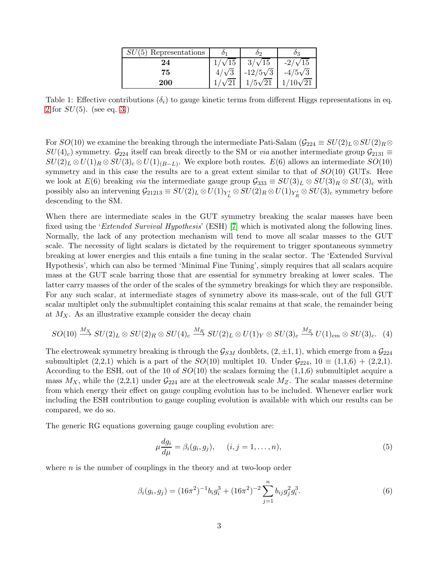| $SU(5)$ Representations |               |                 |                 |
|-------------------------|---------------|-----------------|-----------------|
| 24                      | $1/\sqrt{15}$ | $3/\sqrt{15}$   | $-2/\sqrt{15}$  |
| 75                      | $4/\sqrt{3}$  | $-12/5\sqrt{3}$ | $-4/5\sqrt{3}$  |
| <b>200</b>              |               | $1/5\sqrt{21}$  | $1/10\sqrt{21}$ |

<span id="page-2-1"></span>Table 1: Effective contributions  $(\delta_i)$  to gauge kinetic terms from different Higgs representations in eq. [2](#page-1-0) for  $SU(5)$ . (see eq. [3.](#page-1-2))

For  $SO(10)$  we examine the breaking through the intermediate Pati-Salam  $(\mathcal{G}_{224} \equiv SU(2)_L \otimes SU(2)_R \otimes$  $SU(4)_c$ ) symmetry.  $\mathcal{G}_{224}$  itself can break directly to the SM or *via* another intermediate group  $\mathcal{G}_{2131} \equiv$  $SU(2)_L \otimes U(1)_R \otimes SU(3)_c \otimes U(1)_{(B-L)}$ . We explore both routes.  $E(6)$  allows an intermediate  $SO(10)$ symmetry and in this case the results are to a great extent similar to that of  $SO(10)$  GUTs. Here we look at  $E(6)$  breaking *via* the intermediate gauge group  $\mathcal{G}_{333} \equiv SU(3)_L \otimes SU(3)_R \otimes SU(3)_c$  with possibly also an intervening  $\mathcal{G}_{21213} \equiv SU(2)_L \otimes U(1)_{Y'_L} \otimes SU(2)_R \otimes U(1)_{Y'_R} \otimes SU(3)_c$  symmetry before descending to the SM.

When there are intermediate scales in the GUT symmetry breaking the scalar masses have been fixed using the 'Extended Survival Hypothesis' (ESH) [\[7\]](#page-21-5) which is motivated along the following lines. Normally, the lack of any protection mechanism will tend to move all scalar masses to the GUT scale. The necessity of light scalars is dictated by the requirement to trigger spontaneous symmetry breaking at lower energies and this entails a fine tuning in the scalar sector. The 'Extended Survival Hypothesis', which can also be termed 'Minimal Fine Tuning', simply requires that all scalars acquire mass at the GUT scale barring those that are essential for symmetry breaking at lower scales. The latter carry masses of the order of the scales of the symmetry breakings for which they are responsible. For any such scalar, at intermediate stages of symmetry above its mass-scale, out of the full GUT scalar multiplet only the submultiplet containing this scalar remains at that scale, the remainder being at  $M_X$ . As an illustrative example consider the decay chain

$$
SO(10) \stackrel{M_X}{\longrightarrow} SU(2)_L \otimes SU(2)_R \otimes SU(4)_c \stackrel{M_R}{\longrightarrow} SU(2)_L \otimes U(1)_Y \otimes SU(3)_c \stackrel{M_Z}{\longrightarrow} U(1)_{em} \otimes SU(3)_c. \tag{4}
$$

The electroweak symmetry breaking is through the  $\mathcal{G}_{SM}$  doublets,  $(2, \pm 1, 1)$ , which emerge from a  $\mathcal{G}_{224}$ submultiplet  $(2,2,1)$  which is a part of the  $SO(10)$  multiplet 10. Under  $\mathcal{G}_{224}$ ,  $10 \equiv (1,1,6) + (2,2,1)$ . According to the ESH, out of the 10 of  $SO(10)$  the scalars forming the  $(1,1,6)$  submultiplet acquire a mass  $M_X$ , while the (2,2,1) under  $\mathcal{G}_{224}$  are at the electroweak scale  $M_Z$ . The scalar masses determine from which energy their effect on gauge coupling evolution has to be included. Whenever earlier work including the ESH contribution to gauge coupling evolution is available with which our results can be compared, we do so.

The generic RG equations governing gauge coupling evolution are:

$$
\mu \frac{dg_i}{d\mu} = \beta_i(g_i, g_j), \qquad (i, j = 1, \dots, n), \tag{5}
$$

where  $n$  is the number of couplings in the theory and at two-loop order

<span id="page-2-0"></span>
$$
\beta_i(g_i, g_j) = (16\pi^2)^{-1} b_i g_i^3 + (16\pi^2)^{-2} \sum_{j=1}^n b_{ij} g_j^2 g_i^3.
$$
\n(6)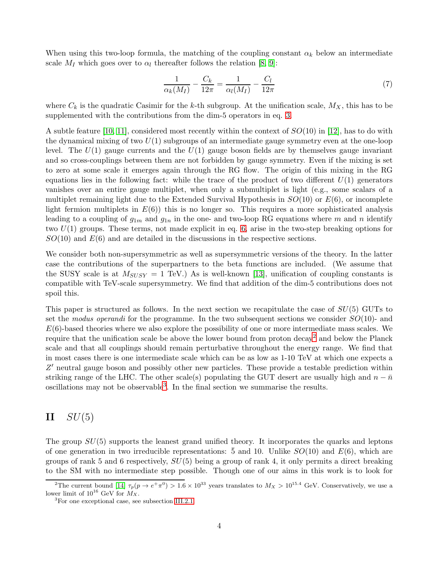When using this two-loop formula, the matching of the coupling constant  $\alpha_k$  below an intermediate scale  $M_I$  which goes over to  $\alpha_l$  thereafter follows the relation [\[8,](#page-21-6) [9\]](#page-21-7):

<span id="page-3-3"></span>
$$
\frac{1}{\alpha_k(M_I)} - \frac{C_k}{12\pi} = \frac{1}{\alpha_l(M_I)} - \frac{C_l}{12\pi} \tag{7}
$$

where  $C_k$  is the quadratic Casimir for the k-th subgroup. At the unification scale,  $M_X$ , this has to be supplemented with the contributions from the dim-5 operators in eq. [3.](#page-1-2)

A subtle feature [\[10,](#page-21-8) [11\]](#page-21-9), considered most recently within the context of  $SO(10)$  in [\[12\]](#page-21-10), has to do with the dynamical mixing of two  $U(1)$  subgroups of an intermediate gauge symmetry even at the one-loop level. The  $U(1)$  gauge currents and the  $U(1)$  gauge boson fields are by themselves gauge invariant and so cross-couplings between them are not forbidden by gauge symmetry. Even if the mixing is set to zero at some scale it emerges again through the RG flow. The origin of this mixing in the RG equations lies in the following fact: while the trace of the product of two different  $U(1)$  generators vanishes over an entire gauge multiplet, when only a submultiplet is light (e.g., some scalars of a multiplet remaining light due to the Extended Survival Hypothesis in  $SO(10)$  or  $E(6)$ , or incomplete light fermion multiplets in  $E(6)$ ) this is no longer so. This requires a more sophisticated analysis leading to a coupling of  $g_{1m}$  and  $g_{1n}$  in the one- and two-loop RG equations where m and n identify two  $U(1)$  groups. These terms, not made explicit in eq. [6,](#page-2-0) arise in the two-step breaking options for  $SO(10)$  and  $E(6)$  and are detailed in the discussions in the respective sections.

We consider both non-supersymmetric as well as supersymmetric versions of the theory. In the latter case the contributions of the superpartners to the beta functions are included. (We assume that the SUSY scale is at  $M_{SUSY} = 1$  TeV.) As is well-known [\[13\]](#page-21-11), unification of coupling constants is compatible with TeV-scale supersymmetry. We find that addition of the dim-5 contributions does not spoil this.

This paper is structured as follows. In the next section we recapitulate the case of  $SU(5)$  GUTs to set the modus operandi for the programme. In the two subsequent sections we consider  $SO(10)$ - and  $E(6)$ -based theories where we also explore the possibility of one or more intermediate mass scales. We require that the unification scale be above the lower bound from proton decay<sup>[2](#page-3-0)</sup> and below the Planck scale and that all couplings should remain perturbative throughout the energy range. We find that in most cases there is one intermediate scale which can be as low as 1-10 TeV at which one expects a Z' neutral gauge boson and possibly other new particles. These provide a testable prediction within striking range of the LHC. The other scale(s) populating the GUT desert are usually high and  $n - \bar{n}$ oscillations may not be observable<sup>[3](#page-3-1)</sup>. In the final section we summarise the results.

# <span id="page-3-2"></span> $II$   $SU(5)$

The group  $SU(5)$  supports the leanest grand unified theory. It incorporates the quarks and leptons of one generation in two irreducible representations: 5 and 10. Unlike  $SO(10)$  and  $E(6)$ , which are groups of rank 5 and 6 respectively,  $SU(5)$  being a group of rank 4, it only permits a direct breaking to the SM with no intermediate step possible. Though one of our aims in this work is to look for

<sup>&</sup>lt;sup>2</sup>The current bound [\[14\]](#page-21-12)  $\tau_p(p \to e^+ \pi^0) > 1.6 \times 10^{33}$  years translates to  $M_X > 10^{15.4}$  GeV. Conservatively, we use a lower limit of  $10^{16}$  GeV for  $M_X$ .

<span id="page-3-1"></span><span id="page-3-0"></span><sup>3</sup>For one exceptional case, see subsection [III.2.1.](#page-7-0)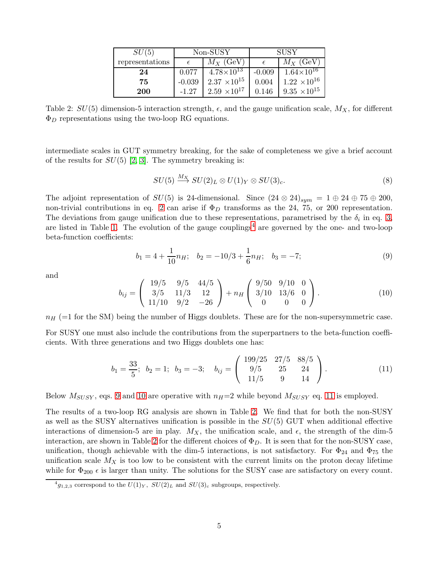| SU(5)           | Non-SUSY |                       | <b>SUSY</b> |                       |
|-----------------|----------|-----------------------|-------------|-----------------------|
| representations |          | $M_X$ (GeV)           |             | $M_X$ (GeV)           |
| 24              | 0.077    | $4.78 \times 10^{13}$ | $-0.009$    | $1.64\times10^{16}$   |
| 75              | $-0.039$ | $2.37 \times 10^{15}$ | 0.004       | $1.22 \times 10^{16}$ |
| 200             | $-1.27$  | $2.59 \times 10^{17}$ | 0.146       | $9.35 \times 10^{15}$ |

<span id="page-4-4"></span>Table 2:  $SU(5)$  dimension-5 interaction strength,  $\epsilon$ , and the gauge unification scale,  $M_X$ , for different  $\Phi_D$  representations using the two-loop RG equations.

intermediate scales in GUT symmetry breaking, for the sake of completeness we give a brief account of the results for  $SU(5)$  [\[2,](#page-21-0) [3\]](#page-21-1). The symmetry breaking is:

$$
SU(5) \stackrel{M_X}{\longrightarrow} SU(2)_L \otimes U(1)_Y \otimes SU(3)_c. \tag{8}
$$

The adjoint representation of  $SU(5)$  is 24-dimensional. Since  $(24 \otimes 24)_{sym} = 1 \oplus 24 \oplus 75 \oplus 200$ , non-trivial contributions in eq. [2](#page-1-0) can arise if  $\Phi_D$  transforms as the 24, 75, or 200 representation. The deviations from gauge unification due to these representations, parametrised by the  $\delta_i$  in eq. [3,](#page-1-2) are listed in Table [1.](#page-2-1) The evolution of the gauge couplings<sup>[4](#page-4-0)</sup> are governed by the one- and two-loop beta-function coefficients:

<span id="page-4-1"></span>
$$
b_1 = 4 + \frac{1}{10}n_H; \quad b_2 = -10/3 + \frac{1}{6}n_H; \quad b_3 = -7; \tag{9}
$$

and

<span id="page-4-2"></span>
$$
b_{ij} = \begin{pmatrix} 19/5 & 9/5 & 44/5 \\ 3/5 & 11/3 & 12 \\ 11/10 & 9/2 & -26 \end{pmatrix} + n_H \begin{pmatrix} 9/50 & 9/10 & 0 \\ 3/10 & 13/6 & 0 \\ 0 & 0 & 0 \end{pmatrix}.
$$
 (10)

 $n_H$  (=1 for the SM) being the number of Higgs doublets. These are for the non-supersymmetric case. For SUSY one must also include the contributions from the superpartners to the beta-function coefficients. With three generations and two Higgs doublets one has:

<span id="page-4-3"></span>
$$
b_1 = \frac{33}{5}; \ \ b_2 = 1; \ \ b_3 = -3; \ \ b_{ij} = \begin{pmatrix} 199/25 & 27/5 & 88/5 \\ 9/5 & 25 & 24 \\ 11/5 & 9 & 14 \end{pmatrix}.
$$
 (11)

Below  $M_{SUSY}$ , eqs. [9](#page-4-1) and [10](#page-4-2) are operative with  $n_H=2$  while beyond  $M_{SUSY}$  eq. [11](#page-4-3) is employed.

The results of a two-loop RG analysis are shown in Table [2.](#page-4-4) We find that for both the non-SUSY as well as the SUSY alternatives unification is possible in the  $SU(5)$  GUT when additional effective interactions of dimension-5 are in play.  $M_X$ , the unification scale, and  $\epsilon$ , the strength of the dim-5 interaction, are shown in Table [2](#page-4-4) for the different choices of  $\Phi_D$ . It is seen that for the non-SUSY case, unification, though achievable with the dim-5 interactions, is not satisfactory. For  $\Phi_{24}$  and  $\Phi_{75}$  the unification scale  $M_X$  is too low to be consistent with the current limits on the proton decay lifetime while for  $\Phi_{200}$   $\epsilon$  is larger than unity. The solutions for the SUSY case are satisfactory on every count.

<span id="page-4-0"></span> ${}^4g_{1,2,3}$  correspond to the  $U(1)_Y$ ,  $SU(2)_L$  and  $SU(3)_c$  subgroups, respectively.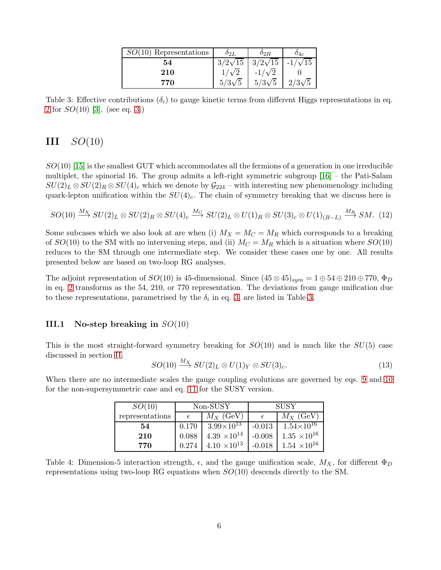| $SO(10)$ Representations | $\delta_{2I}$     | $\mathfrak{o}_{2R}$ |                |
|--------------------------|-------------------|---------------------|----------------|
| 54                       | $3/2\sqrt{15}$    | $3/2\sqrt{15}$      | $-1/\sqrt{15}$ |
| 210                      |                   | $-1/\sqrt{2}$       |                |
| 770                      | $/3\sqrt{5}$<br>5 | $5/3\sqrt{5}$       | $2/3\sqrt{5}$  |

<span id="page-5-0"></span>Table 3: Effective contributions  $(\delta_i)$  to gauge kinetic terms from different Higgs representations in eq. [2](#page-1-0) for  $SO(10)$  [\[3\]](#page-21-1). (see eq. [3.](#page-1-2))

# $III$   $SO(10)$

 $SO(10)$  [\[15\]](#page-21-13) is the smallest GUT which accommodates all the fermions of a generation in one irreducible multiplet, the spinorial 16. The group admits a left-right symmetric subgroup [\[16\]](#page-21-14) – the Pati-Salam  $SU(2)_L \otimes SU(2)_R \otimes SU(4)_c$  which we denote by  $\mathcal{G}_{224}$  – with interesting new phenomenology including quark-lepton unification within the  $SU(4)_c$ . The chain of symmetry breaking that we discuss here is

$$
SO(10) \stackrel{M_X}{\longrightarrow} SU(2)_L \otimes SU(2)_R \otimes SU(4)_c \stackrel{M_G}{\longrightarrow} SU(2)_L \otimes U(1)_R \otimes SU(3)_c \otimes U(1)_{(B-L)} \stackrel{M_R}{\longrightarrow} SM. \tag{12}
$$

Some subcases which we also look at are when (i)  $M_X = M_C = M_R$  which corresponds to a breaking of  $SO(10)$  to the SM with no intervening steps, and (ii)  $M_C = M_R$  which is a situation where  $SO(10)$ reduces to the SM through one intermediate step. We consider these cases one by one. All results presented below are based on two-loop RG analyses.

The adjoint representation of  $SO(10)$  is 45-dimensional. Since  $(45 \otimes 45)_{sym} = 1 \oplus 54 \oplus 210 \oplus 770$ ,  $\Phi_D$ in eq. [2](#page-1-0) transforms as the 54, 210, or 770 representation. The deviations from gauge unification due to these representations, parametrised by the  $\delta_i$  in eq. [3,](#page-1-2) are listed in Table [3.](#page-5-0)

### III.1 No-step breaking in  $SO(10)$

This is the most straight-forward symmetry breaking for  $SO(10)$  and is much like the  $SU(5)$  case discussed in section [II.](#page-3-2)

$$
SO(10) \stackrel{M_X}{\longrightarrow} SU(2)_L \otimes U(1)_Y \otimes SU(3)_c. \tag{13}
$$

When there are no intermediate scales the gauge coupling evolutions are governed by eqs. [9](#page-4-1) and [10](#page-4-2) for the non-supersymmetric case and eq. [11](#page-4-3) for the SUSY version.

| SO(10)          | Non-SUSY |                       | <b>SUSY</b> |                       |
|-----------------|----------|-----------------------|-------------|-----------------------|
| representations |          | $M_X$ (GeV)           |             | $M_X$ (GeV)           |
| 54              | 0.170    | $3.99\times10^{13}$   | $-0.013$    | $1.54\times10^{16}$   |
| 210             | 0.088    | $4.39 \times 10^{14}$ | $-0.008$    | $1.35 \times 10^{16}$ |
| 770             | 0.274    | $4.10 \times 10^{13}$ | $-0.018$    | $1.54 \times 10^{16}$ |

<span id="page-5-1"></span>Table 4: Dimension-5 interaction strength,  $\epsilon$ , and the gauge unification scale,  $M_X$ , for different  $\Phi_D$ representations using two-loop RG equations when  $SO(10)$  descends directly to the SM.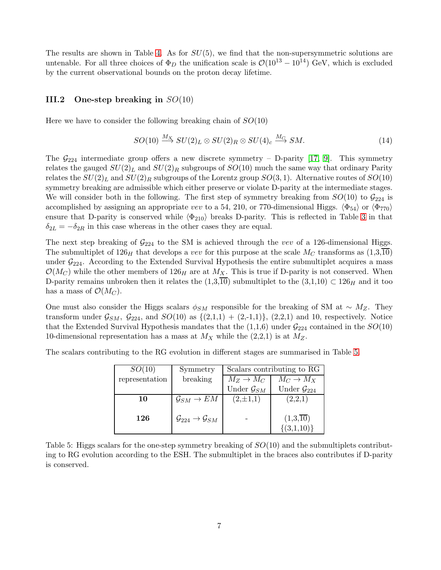The results are shown in Table [4.](#page-5-1) As for  $SU(5)$ , we find that the non-supersymmetric solutions are untenable. For all three choices of  $\Phi_D$  the unification scale is  $\mathcal{O}(10^{13} - 10^{14})$  GeV, which is excluded by the current observational bounds on the proton decay lifetime.

### III.2 One-step breaking in  $SO(10)$

Here we have to consider the following breaking chain of  $SO(10)$ 

$$
SO(10) \xrightarrow{M_X} SU(2)_L \otimes SU(2)_R \otimes SU(4)_c \xrightarrow{M_C} SM.
$$
 (14)

The  $\mathcal{G}_{224}$  intermediate group offers a new discrete symmetry – D-parity [\[17,](#page-21-15) [9\]](#page-21-7). This symmetry relates the gauged  $SU(2)_L$  and  $SU(2)_R$  subgroups of  $SO(10)$  much the same way that ordinary Parity relates the  $SU(2)_L$  and  $SU(2)_R$  subgroups of the Lorentz group  $SO(3,1)$ . Alternative routes of  $SO(10)$ symmetry breaking are admissible which either preserve or violate D-parity at the intermediate stages. We will consider both in the following. The first step of symmetry breaking from  $SO(10)$  to  $\mathcal{G}_{224}$  is accomplished by assigning an appropriate vev to a 54, 210, or 770-dimensional Higgs.  $\langle \Phi_{54} \rangle$  or  $\langle \Phi_{770} \rangle$ ensure that D-parity is conserved while  $\langle \Phi_{210} \rangle$  breaks D-parity. This is reflected in Table [3](#page-5-0) in that  $\delta_{2L} = -\delta_{2R}$  in this case whereas in the other cases they are equal.

The next step breaking of  $\mathcal{G}_{224}$  to the SM is achieved through the vev of a 126-dimensional Higgs. The submultiplet of  $126<sub>H</sub>$  that develops a vev for this purpose at the scale  $M<sub>C</sub>$  transforms as  $(1,3,10)$ under  $\mathcal{G}_{224}$ . According to the Extended Survival Hypothesis the entire submultiplet acquires a mass  $\mathcal{O}(M_C)$  while the other members of  $126_H$  are at  $M_X$ . This is true if D-parity is not conserved. When D-parity remains unbroken then it relates the  $(1,3,\overline{10})$  submultiplet to the  $(3,1,10) \subset 126_H$  and it too has a mass of  $\mathcal{O}(M_C)$ .

One must also consider the Higgs scalars  $\phi_{SM}$  responsible for the breaking of SM at  $\sim M_Z$ . They transform under  $\mathcal{G}_{SM}$ ,  $\mathcal{G}_{224}$ , and  $SO(10)$  as  $\{(2,1,1) + (2,-1,1)\}, (2,2,1)$  and 10, respectively. Notice that the Extended Survival Hypothesis mandates that the  $(1,1,6)$  under  $\mathcal{G}_{224}$  contained in the  $SO(10)$ 10-dimensional representation has a mass at  $M_X$  while the (2,2,1) is at  $M_Z$ .

The scalars contributing to the RG evolution in different stages are summarised in Table [5.](#page-6-0)

| SO(10)         | Symmetry                                         | Scalars contributing to RG |                                          |  |
|----------------|--------------------------------------------------|----------------------------|------------------------------------------|--|
| representation | breaking                                         | $M_Z \rightarrow M_C$      | $M_C \to M_X$                            |  |
|                |                                                  | Under $\mathcal{G}_{SM}$   | Under $\mathcal{G}_{224}$                |  |
| 10             | $\mathcal{G}_{SM} \to EM$                        | $(2,\pm 1,1)$              | (2,2,1)                                  |  |
| 126            | $\mathcal{G}_{224} \rightarrow \mathcal{G}_{SM}$ |                            | $(1,3,\overline{10})$<br>$\{(3,1,10)\}\$ |  |

<span id="page-6-0"></span>Table 5: Higgs scalars for the one-step symmetry breaking of  $SO(10)$  and the submultiplets contributing to RG evolution according to the ESH. The submultiplet in the braces also contributes if D-parity is conserved.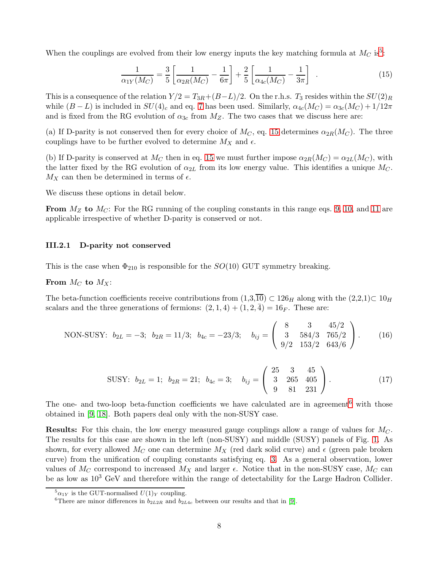When the couplings are evolved from their low energy inputs the key matching formula at  $M_C$  is<sup>[5](#page-7-1)</sup>:

<span id="page-7-2"></span>
$$
\frac{1}{\alpha_{1Y}(M_C)} = \frac{3}{5} \left[ \frac{1}{\alpha_{2R}(M_C)} - \frac{1}{6\pi} \right] + \frac{2}{5} \left[ \frac{1}{\alpha_{4c}(M_C)} - \frac{1}{3\pi} \right] . \tag{15}
$$

This is a consequence of the relation  $Y/2 = T_{3R} + (B-L)/2$ . On the r.h.s.  $T_3$  resides within the  $SU(2)_R$ while  $(B - L)$  is included in  $SU(4)_c$  and eq. [7](#page-3-3) has been used. Similarly,  $\alpha_{4c}(M_C) = \alpha_{3c}(M_C) + 1/12\pi$ and is fixed from the RG evolution of  $\alpha_{3c}$  from  $M_Z$ . The two cases that we discuss here are:

(a) If D-parity is not conserved then for every choice of  $M_C$ , eq. [15](#page-7-2) determines  $\alpha_{2R}(M_C)$ . The three couplings have to be further evolved to determine  $M_X$  and  $\epsilon$ .

(b) If D-parity is conserved at  $M_C$  then in eq. [15](#page-7-2) we must further impose  $\alpha_{2R}(M_C) = \alpha_{2L}(M_C)$ , with the latter fixed by the RG evolution of  $\alpha_{2L}$  from its low energy value. This identifies a unique  $M_C$ .  $M_X$  can then be determined in terms of  $\epsilon$ .

We discuss these options in detail below.

From  $M_Z$  to  $M_C$ : For the RG running of the coupling constants in this range eqs. [9,](#page-4-1) [10,](#page-4-2) and [11](#page-4-3) are applicable irrespective of whether D-parity is conserved or not.

#### <span id="page-7-0"></span>III.2.1 D-parity not conserved

This is the case when  $\Phi_{210}$  is responsible for the  $SO(10)$  GUT symmetry breaking.

#### From  $M_C$  to  $M_X$ :

The beta-function coefficients receive contributions from  $(1,3,\overline{10}) \subset 126_H$  along with the  $(2,2,1) \subset 10_H$ scalars and the three generations of fermions:  $(2, 1, 4) + (1, 2, 4) = 16<sub>F</sub>$ . These are:

NON-SUSY: 
$$
b_{2L} = -3
$$
;  $b_{2R} = 11/3$ ;  $b_{4c} = -23/3$ ;  $b_{ij} = \begin{pmatrix} 8 & 3 & 45/2 \\ 3 & 584/3 & 765/2 \\ 9/2 & 153/2 & 643/6 \end{pmatrix}$ . (16)

SUSY: 
$$
b_{2L} = 1
$$
;  $b_{2R} = 21$ ;  $b_{4c} = 3$ ;  $b_{ij} = \begin{pmatrix} 25 & 3 & 45 \ 3 & 265 & 405 \ 9 & 81 & 231 \end{pmatrix}$ . (17)

The one- and two-loop beta-function coefficients we have calculated are in agreement<sup>[6](#page-7-3)</sup> with those obtained in [\[9,](#page-21-7) [18\]](#page-21-16). Both papers deal only with the non-SUSY case.

**Results:** For this chain, the low energy measured gauge couplings allow a range of values for  $M_C$ . The results for this case are shown in the left (non-SUSY) and middle (SUSY) panels of Fig. [1.](#page-8-0) As shown, for every allowed  $M_C$  one can determine  $M_X$  (red dark solid curve) and  $\epsilon$  (green pale broken curve) from the unification of coupling constants satisfying eq. [3.](#page-1-2) As a general observation, lower values of  $M_C$  correspond to increased  $M_X$  and larger  $\epsilon$ . Notice that in the non-SUSY case,  $M_C$  can be as low as  $10^3$  GeV and therefore within the range of detectability for the Large Hadron Collider.

 ${}^5\alpha_{1Y}$  is the GUT-normalised  $U(1)_Y$  coupling.

<span id="page-7-3"></span><span id="page-7-1"></span><sup>&</sup>lt;sup>6</sup>There are minor differences in  $b_{2L2R}$  and  $b_{2L4c}$  between our results and that in [\[9\]](#page-21-7).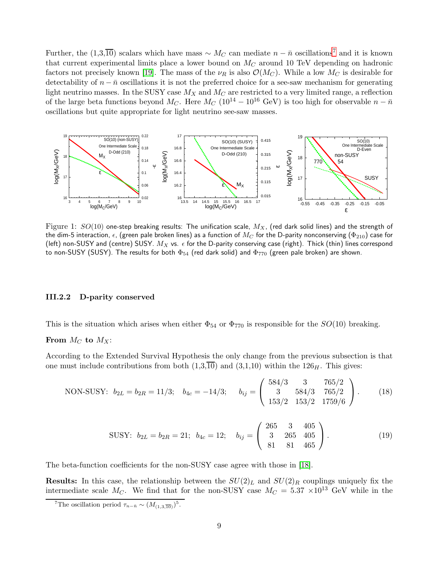Further, the (1,3, $\overline{10}$ ) scalars which have mass ~  $M_C$  can mediate  $n - \overline{n}$  oscillations<sup>[7](#page-8-1)</sup> and it is known that current experimental limits place a lower bound on  $M_C$  around 10 TeV depending on hadronic factors not precisely known [\[19\]](#page-21-17). The mass of the  $\nu_R$  is also  $\mathcal{O}(M_C)$ . While a low  $M_C$  is desirable for detectability of  $n - \bar{n}$  oscillations it is not the preferred choice for a see-saw mechanism for generating light neutrino masses. In the SUSY case  $M_X$  and  $M_C$  are restricted to a very limited range, a reflection of the large beta functions beyond M<sub>C</sub>. Here  $M_C$  (10<sup>14</sup> – 10<sup>16</sup> GeV) is too high for observable  $n - \bar{n}$ oscillations but quite appropriate for light neutrino see-saw masses.



<span id="page-8-0"></span>Figure 1:  $SO(10)$  one-step breaking results: The unification scale,  $M_X$ , (red dark solid lines) and the strength of the dim-5 interaction,  $\epsilon$ , (green pale broken lines) as a function of  $M_C$  for the D-parity nonconserving ( $\Phi_{210}$ ) case for (left) non-SUSY and (centre) SUSY.  $M_X$  vs.  $\epsilon$  for the D-parity conserving case (right). Thick (thin) lines correspond to non-SUSY (SUSY). The results for both  $\Phi_{54}$  (red dark solid) and  $\Phi_{770}$  (green pale broken) are shown.

#### III.2.2 D-parity conserved

This is the situation which arises when either  $\Phi_{54}$  or  $\Phi_{770}$  is responsible for the  $SO(10)$  breaking.

#### From  $M_C$  to  $M_X$ :

According to the Extended Survival Hypothesis the only change from the previous subsection is that one must include contributions from both  $(1,3,\overline{10})$  and  $(3,1,10)$  within the  $126<sub>H</sub>$ . This gives:

NON-SUSY: 
$$
b_{2L} = b_{2R} = 11/3
$$
;  $b_{4c} = -14/3$ ;  $b_{ij} = \begin{pmatrix} 584/3 & 3 & 765/2 \\ 3 & 584/3 & 765/2 \\ 153/2 & 153/2 & 1759/6 \end{pmatrix}$ . (18)

SUSY: 
$$
b_{2L} = b_{2R} = 21
$$
;  $b_{4c} = 12$ ;  $b_{ij} = \begin{pmatrix} 265 & 3 & 405 \ 3 & 265 & 405 \ 81 & 81 & 465 \end{pmatrix}$ . (19)

The beta-function coefficients for the non-SUSY case agree with those in [\[18\]](#page-21-16).

**Results:** In this case, the relationship between the  $SU(2)_L$  and  $SU(2)_R$  couplings uniquely fix the intermediate scale  $M_C$ . We find that for the non-SUSY case  $M_C = 5.37 \times 10^{13}$  GeV while in the

<span id="page-8-1"></span><sup>&</sup>lt;sup>7</sup>The oscillation period  $\tau_{n-\bar{n}} \sim (M_{(1,3,\overline{10})})^5$ .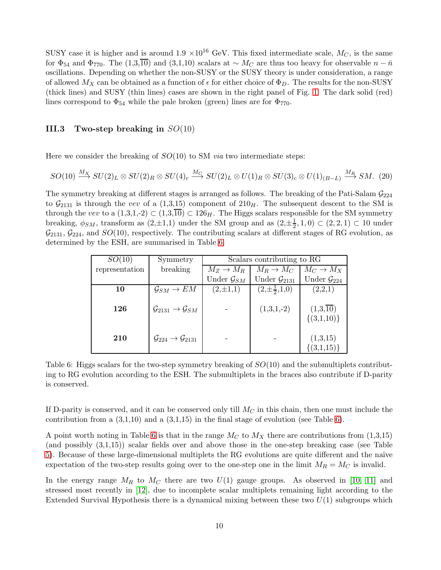SUSY case it is higher and is around  $1.9 \times 10^{16}$  GeV. This fixed intermediate scale,  $M_C$ , is the same for  $\Phi_{54}$  and  $\Phi_{770}$ . The (1,3, $\overline{10}$ ) and (3,1,10) scalars at ~  $M_C$  are thus too heavy for observable  $n - \bar{n}$ oscillations. Depending on whether the non-SUSY or the SUSY theory is under consideration, a range of allowed  $M_X$  can be obtained as a function of  $\epsilon$  for either choice of  $\Phi_D$ . The results for the non-SUSY (thick lines) and SUSY (thin lines) cases are shown in the right panel of Fig. [1.](#page-8-0) The dark solid (red) lines correspond to  $\Phi_{54}$  while the pale broken (green) lines are for  $\Phi_{770}$ .

### III.3 Two-step breaking in  $SO(10)$

Here we consider the breaking of  $SO(10)$  to SM *via* two intermediate steps:

<span id="page-9-1"></span>
$$
SO(10) \xrightarrow{M_X} SU(2)_L \otimes SU(2)_R \otimes SU(4)_c \xrightarrow{M_C} SU(2)_L \otimes U(1)_R \otimes SU(3)_c \otimes U(1)_{(B-L)} \xrightarrow{M_R} SM. \tag{20}
$$

The symmetry breaking at different stages is arranged as follows. The breaking of the Pati-Salam  $\mathcal{G}_{224}$ to  $\mathcal{G}_{2131}$  is through the vev of a (1,3,15) component of  $210<sub>H</sub>$ . The subsequent descent to the SM is through the vev to a  $(1,3,1,-2) \subset (1,3,\overline{10}) \subset 126_H$ . The Higgs scalars responsible for the SM symmetry breaking,  $\phi_{SM}$ , transform as  $(2,\pm 1,1)$  under the SM group and as  $(2,\pm \frac{1}{2})$  $(\frac{1}{2}, 1, 0) \subset (2, 2, 1) \subset 10$  under  $\mathcal{G}_{2131}, \mathcal{G}_{224}$ , and  $SO(10)$ , respectively. The contributing scalars at different stages of RG evolution, as determined by the ESH, are summarised in Table [6.](#page-9-0)

| SO(10)         | Symmetry                                           |                          | Scalars contributing to RG |                                          |
|----------------|----------------------------------------------------|--------------------------|----------------------------|------------------------------------------|
| representation | breaking                                           | $M_Z \rightarrow M_R$    | $M_R \rightarrow M_C$      | $M_C \to M_X$                            |
|                |                                                    | Under $\mathcal{G}_{SM}$ | Under $\mathcal{G}_{2131}$ | Under $\mathcal{G}_{224}$                |
| 10             | $\mathcal{G}_{SM} \to EM$                          | $(2,\pm 1,1)$            | $(2,\pm\frac{1}{2},1,0)$   | (2,2,1)                                  |
| 126            | $\mathcal{G}_{2131} \rightarrow \mathcal{G}_{SM}$  |                          | $(1,3,1,-2)$               | $(1,3,\overline{10})$<br>$\{(3,1,10)\}\$ |
| 210            | $\mathcal{G}_{224} \rightarrow \mathcal{G}_{2131}$ |                          |                            | (1,3,15)<br>$\{(3,1,15)\}\$              |

<span id="page-9-0"></span>Table 6: Higgs scalars for the two-step symmetry breaking of  $SO(10)$  and the submultiplets contributing to RG evolution according to the ESH. The submultiplets in the braces also contribute if D-parity is conserved.

If D-parity is conserved, and it can be conserved only till  $M_C$  in this chain, then one must include the contribution from a  $(3,1,10)$  and a  $(3,1,15)$  in the final stage of evolution (see Table [6\)](#page-9-0).

A point worth noting in Table [6](#page-9-0) is that in the range  $M_C$  to  $M_X$  there are contributions from  $(1,3,15)$ (and possibly (3,1,15)) scalar fields over and above those in the one-step breaking case (see Table [5\)](#page-6-0). Because of these large-dimensional multiplets the RG evolutions are quite different and the naïve expectation of the two-step results going over to the one-step one in the limit  $M_R = M_C$  is invalid.

In the energy range  $M_R$  to  $M_C$  there are two  $U(1)$  gauge groups. As observed in [\[10,](#page-21-8) [11\]](#page-21-9) and stressed most recently in [\[12\]](#page-21-10), due to incomplete scalar multiplets remaining light according to the Extended Survival Hypothesis there is a dynamical mixing between these two  $U(1)$  subgroups which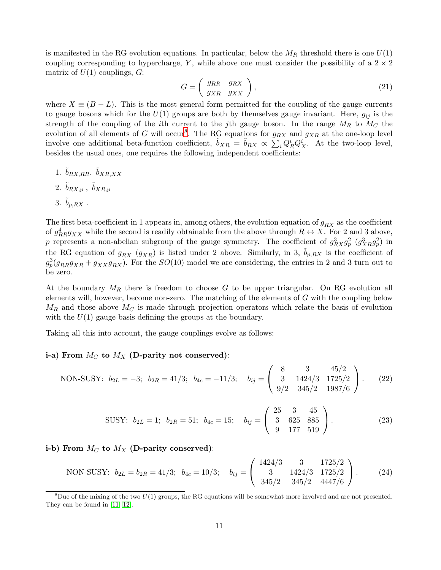is manifested in the RG evolution equations. In particular, below the  $M_R$  threshold there is one  $U(1)$ coupling corresponding to hypercharge, Y, while above one must consider the possibility of a  $2 \times 2$ matrix of  $U(1)$  couplings,  $G$ :

$$
G = \left(\begin{array}{cc} g_{RR} & g_{RX} \\ g_{XR} & g_{XX} \end{array}\right),\tag{21}
$$

where  $X \equiv (B - L)$ . This is the most general form permitted for the coupling of the gauge currents to gauge bosons which for the  $U(1)$  groups are both by themselves gauge invariant. Here,  $g_{ij}$  is the strength of the coupling of the *i*th current to the *j*th gauge boson. In the range  $M_R$  to  $M_C$  the evolution of all elements of G will occur<sup>[8](#page-10-0)</sup>. The RG equations for  $g_{RX}$  and  $g_{XR}$  at the one-loop level involve one additional beta-function coefficient,  $\tilde{b}_{XR} = \tilde{b}_{RX} \propto \sum_i Q_R^i Q_X^i$ . At the two-loop level, besides the usual ones, one requires the following independent coefficients:

1.  $\tilde{b}_{RX,RR}, \ \tilde{b}_{XR,XX}$ 2.  $\tilde{b}_{RX,p}$  ,  $\tilde{b}_{XR,p}$ 3.  $\tilde{b}_{nBX}$ .

The first beta-coefficient in 1 appears in, among others, the evolution equation of  $g_{RX}$  as the coefficient of  $g_{RR}^4g_{XX}$  while the second is readily obtainable from the above through  $R \leftrightarrow X$ . For 2 and 3 above, p represents a non-abelian subgroup of the gauge symmetry. The coefficient of  $g_{RX}^3 g_p^2$   $(g_{XR}^3 g_p^2)$  in the RG equation of  $g_{RX}$   $(g_{XR})$  is listed under 2 above. Similarly, in 3,  $b_{p,RX}$  is the coefficient of  $g_p^3(g_{RR}g_{XR} + g_{XX}g_{RX})$ . For the  $SO(10)$  model we are considering, the entries in 2 and 3 turn out to be zero.

At the boundary  $M_R$  there is freedom to choose G to be upper triangular. On RG evolution all elements will, however, become non-zero. The matching of the elements of  $G$  with the coupling below  $M_R$  and those above  $M_C$  is made through projection operators which relate the basis of evolution with the  $U(1)$  gauge basis defining the groups at the boundary.

Taking all this into account, the gauge couplings evolve as follows:

#### i-a) From  $M_C$  to  $M_X$  (D-parity not conserved):

NON-SUSY: 
$$
b_{2L} = -3
$$
;  $b_{2R} = 41/3$ ;  $b_{4c} = -11/3$ ;  $b_{ij} = \begin{pmatrix} 8 & 3 & 45/2 \\ 3 & 1424/3 & 1725/2 \\ 9/2 & 345/2 & 1987/6 \end{pmatrix}$ . (22)

SUSY: 
$$
b_{2L} = 1
$$
;  $b_{2R} = 51$ ;  $b_{4c} = 15$ ;  $b_{ij} = \begin{pmatrix} 25 & 3 & 45 \ 3 & 625 & 885 \ 9 & 177 & 519 \end{pmatrix}$ . (23)

i-b) From  $M_C$  to  $M_X$  (D-parity conserved):

NON-SUSY: 
$$
b_{2L} = b_{2R} = 41/3
$$
;  $b_{4c} = 10/3$ ;  $b_{ij} = \begin{pmatrix} 1424/3 & 3 & 1725/2 \\ 3 & 1424/3 & 1725/2 \\ 345/2 & 345/2 & 4447/6 \end{pmatrix}$ . (24)

<span id="page-10-0"></span><sup>&</sup>lt;sup>8</sup>Due of the mixing of the two  $U(1)$  groups, the RG equations will be somewhat more involved and are not presented. They can be found in [\[11,](#page-21-9) [12\]](#page-21-10).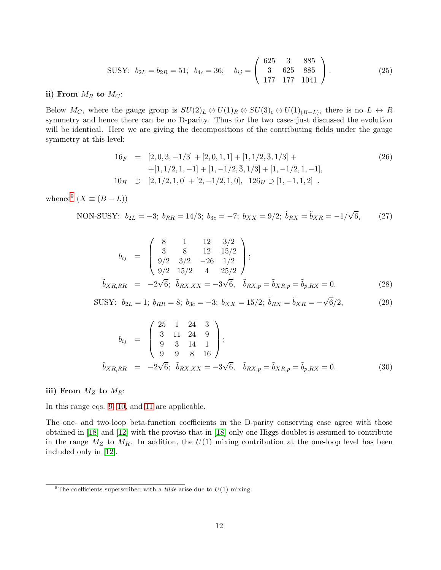SUSY: 
$$
b_{2L} = b_{2R} = 51
$$
;  $b_{4c} = 36$ ;  $b_{ij} = \begin{pmatrix} 625 & 3 & 885 \ 3 & 625 & 885 \ 177 & 177 & 1041 \end{pmatrix}$ . (25)

ii) From  $M_R$  to  $M_C$ :

Below  $M_C$ , where the gauge group is  $SU(2)_L \otimes U(1)_R \otimes SU(3)_c \otimes U(1)_{(B-L)}$ , there is no  $L \leftrightarrow R$ symmetry and hence there can be no D-parity. Thus for the two cases just discussed the evolution will be identical. Here we are giving the decompositions of the contributing fields under the gauge symmetry at this level:

$$
16_F = [2, 0, 3, -1/3] + [2, 0, 1, 1] + [1, 1/2, \overline{3}, 1/3] ++ [1, 1/2, 1, -1] + [1, -1/2, \overline{3}, 1/3] + [1, -1/2, 1, -1],10_H \supset [2, 1/2, 1, 0] + [2, -1/2, 1, 0], 126_H \supset [1, -1, 1, 2].
$$
\n(26)

whence<sup>[9](#page-11-0)</sup>  $(X \equiv (B - L))$ 

NON-SUSY: 
$$
b_{2L} = -3
$$
;  $b_{RR} = 14/3$ ;  $b_{3c} = -7$ ;  $b_{XX} = 9/2$ ;  $\tilde{b}_{RX} = \tilde{b}_{XR} = -1/\sqrt{6}$ , (27)

$$
b_{ij} = \begin{pmatrix} 8 & 1 & 12 & 3/2 \\ 3 & 8 & 12 & 15/2 \\ 9/2 & 3/2 & -26 & 1/2 \\ 9/2 & 15/2 & 4 & 25/2 \end{pmatrix};
$$
  

$$
\tilde{b}_{XR,RR} = -2\sqrt{6}; \tilde{b}_{RX,XX} = -3\sqrt{6}, \tilde{b}_{RX,p} = \tilde{b}_{XR,p} = \tilde{b}_{p,RX} = 0.
$$
 (28)

SUSY: 
$$
b_{2L} = 1
$$
;  $b_{RR} = 8$ ;  $b_{3c} = -3$ ;  $b_{XX} = 15/2$ ;  $\tilde{b}_{RX} = \tilde{b}_{XR} = -\sqrt{6}/2$ , (29)

$$
b_{ij} = \begin{pmatrix} 25 & 1 & 24 & 3 \\ 3 & 11 & 24 & 9 \\ 9 & 3 & 14 & 1 \\ 9 & 9 & 8 & 16 \end{pmatrix};
$$
  
\n
$$
\tilde{b}_{XR,RR} = -2\sqrt{6}; \quad \tilde{b}_{RX,XX} = -3\sqrt{6}, \quad \tilde{b}_{RX,p} = \tilde{b}_{XR,p} = \tilde{b}_{p,RX} = 0.
$$
\n(30)

### iii) From  $M_Z$  to  $M_R$ :

In this range eqs. [9,](#page-4-1) [10,](#page-4-2) and [11](#page-4-3) are applicable.

The one- and two-loop beta-function coefficients in the D-parity conserving case agree with those obtained in [\[18\]](#page-21-16) and [\[12\]](#page-21-10) with the proviso that in [\[18\]](#page-21-16) only one Higgs doublet is assumed to contribute in the range  $M_Z$  to  $M_R$ . In addition, the  $U(1)$  mixing contribution at the one-loop level has been included only in [\[12\]](#page-21-10).

<span id="page-11-0"></span><sup>&</sup>lt;sup>9</sup>The coefficients superscribed with a *tilde* arise due to  $U(1)$  mixing.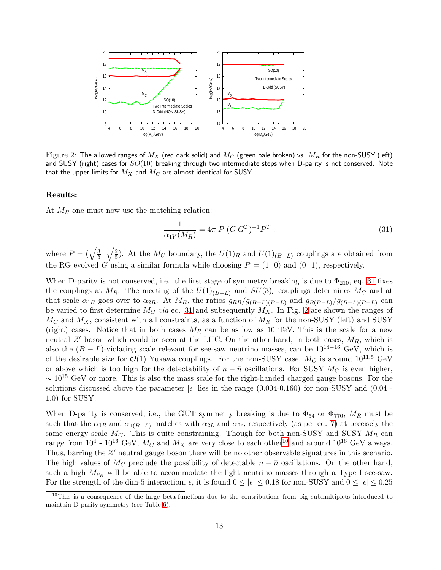

<span id="page-12-1"></span>Figure 2: The allowed ranges of  $M_X$  (red dark solid) and  $M_C$  (green pale broken) vs.  $M_R$  for the non-SUSY (left) and SUSY (right) cases for  $SO(10)$  breaking through two intermediate steps when D-parity is not conserved. Note that the upper limits for  $M_X$  and  $M_C$  are almost identical for SUSY.

#### Results:

At  $M_R$  one must now use the matching relation:

<span id="page-12-0"></span>
$$
\frac{1}{\alpha_{1Y}(M_R)} = 4\pi \ P \ (G \ G^T)^{-1} P^T \ . \tag{31}
$$

where  $P = (\sqrt{\frac{3}{5}})$  $\frac{3}{5}$   $\sqrt{\frac{2}{5}}$  $\frac{2}{5}$ ). At the  $M_C$  boundary, the  $U(1)_R$  and  $U(1)_{(B-L)}$  couplings are obtained from the RG evolved G using a similar formula while choosing  $P = (1 \ 0)$  and  $(0 \ 1)$ , respectively.

When D-parity is not conserved, i.e., the first stage of symmetry breaking is due to  $\Phi_{210}$ , eq. [31](#page-12-0) fixes the couplings at M<sub>R</sub>. The meeting of the  $U(1)_{(B-L)}$  and  $SU(3)_c$  couplings determines M<sub>C</sub> and at that scale  $\alpha_{1R}$  goes over to  $\alpha_{2R}$ . At  $M_R$ , the ratios  $g_{RR}/g_{(B-L)(B-L)}$  and  $g_{R(B-L)}/g_{(B-L)(B-L)}$  can be varied to first determine  $M_C$  via eq. [31](#page-12-0) and subsequently  $M_X$ . In Fig. [2](#page-12-1) are shown the ranges of  $M_C$  and  $M_X$ , consistent with all constraints, as a function of  $M_R$  for the non-SUSY (left) and SUSY (right) cases. Notice that in both cases  $M_R$  can be as low as 10 TeV. This is the scale for a new neutral Z' boson which could be seen at the LHC. On the other hand, in both cases,  $M_R$ , which is also the  $(B - L)$ -violating scale relevant for see-saw neutrino masses, can be  $10^{14-16}$  GeV, which is of the desirable size for  $\mathcal{O}(1)$  Yukawa couplings. For the non-SUSY case,  $M_C$  is around  $10^{11.5}$  GeV or above which is too high for the detectability of  $n - \bar{n}$  oscillations. For SUSY  $M_C$  is even higher,  $\sim 10^{15}$  GeV or more. This is also the mass scale for the right-handed charged gauge bosons. For the solutions discussed above the parameter  $|\epsilon|$  lies in the range (0.004-0.160) for non-SUSY and (0.04 -1.0) for SUSY.

When D-parity is conserved, i.e., the GUT symmetry breaking is due to  $\Phi_{54}$  or  $\Phi_{770}$ ,  $M_R$  must be such that the  $\alpha_{1R}$  and  $\alpha_{1(B-L)}$  matches with  $\alpha_{2L}$  and  $\alpha_{3c}$ , respectively (as per eq. [7\)](#page-3-3) at precisely the same energy scale  $M_C$ . This is quite constraining. Though for both non-SUSY and SUSY  $M_R$  can range from  $10^4$  $10^4$  -  $10^{16}$  GeV,  $M_C$  and  $M_X$  are very close to each other<sup>10</sup> and around  $10^{16}$  GeV always. Thus, barring the Z' neutral gauge boson there will be no other observable signatures in this scenario. The high values of  $M_C$  preclude the possibility of detectable  $n - \bar{n}$  oscillations. On the other hand, such a high  $M_{\nu_R}$  will be able to accommodate the light neutrino masses through a Type I see-saw. For the strength of the dim-5 interaction,  $\epsilon$ , it is found  $0 \leq |\epsilon| \leq 0.18$  for non-SUSY and  $0 \leq |\epsilon| \leq 0.25$ 

<span id="page-12-2"></span> $10$ This is a consequence of the large beta-functions due to the contributions from big submultiplets introduced to maintain D-parity symmetry (see Table [6\)](#page-9-0).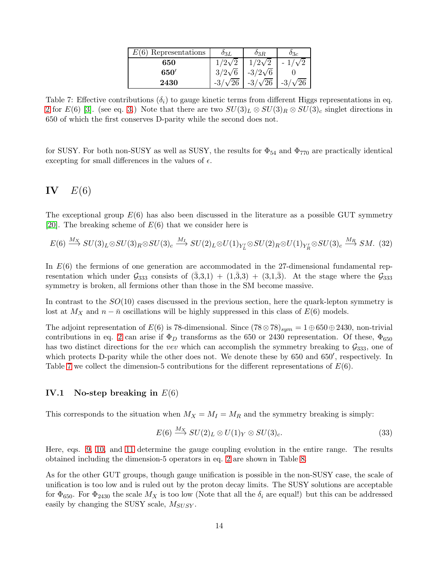| $E(6)$ Representations | $0_{3L}$      | $0_{3R}$       | $\sigma_{3c}$ |
|------------------------|---------------|----------------|---------------|
| 650                    | $1/2\sqrt{2}$ | $1/2\sqrt{2}$  | $-1/$         |
| 650'                   | $3/2\sqrt{6}$ | $-3/2\sqrt{6}$ |               |
| 2430                   | $\sqrt{26}$   | $-3/\sqrt{26}$ | /26<br>$-3/$  |

<span id="page-13-0"></span>Table 7: Effective contributions  $(\delta_i)$  to gauge kinetic terms from different Higgs representations in eq. [2](#page-1-0) for  $E(6)$  [\[3\]](#page-21-1). (see eq. [3.](#page-1-2)) Note that there are two  $SU(3)_L \otimes SU(3)_R \otimes SU(3)_c$  singlet directions in 650 of which the first conserves D-parity while the second does not.

for SUSY. For both non-SUSY as well as SUSY, the results for  $\Phi_{54}$  and  $\Phi_{770}$  are practically identical excepting for small differences in the values of  $\epsilon$ .

# $IV$   $E(6)$

The exceptional group  $E(6)$  has also been discussed in the literature as a possible GUT symmetry [\[20\]](#page-21-18). The breaking scheme of  $E(6)$  that we consider here is

<span id="page-13-1"></span>
$$
E(6) \xrightarrow{M_X} SU(3)_L \otimes SU(3)_R \otimes SU(3)_c \xrightarrow{M_I} SU(2)_L \otimes U(1)_{Y'_L} \otimes SU(2)_R \otimes U(1)_{Y'_R} \otimes SU(3)_c \xrightarrow{M_R} SM. \tag{32}
$$

In  $E(6)$  the fermions of one generation are accommodated in the 27-dimensional fundamental representation which under  $\mathcal{G}_{333}$  consists of  $(3,3,1) + (1,3,3) + (3,1,3)$ . At the stage where the  $\mathcal{G}_{333}$ symmetry is broken, all fermions other than those in the SM become massive.

In contrast to the  $SO(10)$  cases discussed in the previous section, here the quark-lepton symmetry is lost at  $M_X$  and  $n - \bar{n}$  oscillations will be highly suppressed in this class of  $E(6)$  models.

The adjoint representation of  $E(6)$  is 78-dimensional. Since  $(78 \otimes 78)_{sum} = 1 \oplus 650 \oplus 2430$ , non-trivial contributions in eq. [2](#page-1-0) can arise if  $\Phi_D$  transforms as the 650 or 2430 representation. Of these,  $\Phi_{650}$ has two distinct directions for the vev which can accomplish the symmetry breaking to  $\mathcal{G}_{333}$ , one of which protects D-parity while the other does not. We denote these by 650 and 650′ , respectively. In Table [7](#page-13-0) we collect the dimension-5 contributions for the different representations of  $E(6)$ .

### IV.1 No-step breaking in  $E(6)$

This corresponds to the situation when  $M_X = M_I = M_R$  and the symmetry breaking is simply:

$$
E(6) \xrightarrow{M_X} SU(2)_L \otimes U(1)_Y \otimes SU(3)_c. \tag{33}
$$

Here, eqs. [9,](#page-4-1) [10,](#page-4-2) and [11](#page-4-3) determine the gauge coupling evolution in the entire range. The results obtained including the dimension-5 operators in eq. [2](#page-1-0) are shown in Table [8.](#page-14-0)

As for the other GUT groups, though gauge unification is possible in the non-SUSY case, the scale of unification is too low and is ruled out by the proton decay limits. The SUSY solutions are acceptable for  $\Phi_{650}$ . For  $\Phi_{2430}$  the scale  $M_X$  is too low (Note that all the  $\delta_i$  are equal!) but this can be addressed easily by changing the SUSY scale,  $M_{SUSY}$ .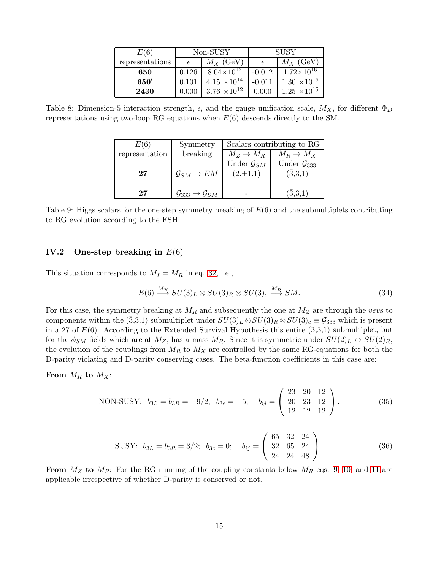| E(6)            | Non-SUSY |                       | <b>SUSY</b> |                       |
|-----------------|----------|-----------------------|-------------|-----------------------|
| representations |          | $M_X$ (GeV)           |             | $M_X$ (GeV)           |
| 650             | 0.126    | $8.04\times10^{12}$   | $-0.012$    | $1.72\times10^{16}$   |
| 650'            | 0.101    | $4.15 \times 10^{14}$ | $-0.011$    | $1.30 \times 10^{16}$ |
| 2430            |          | $3.76 \times 10^{12}$ | 0.000       | $1.25 \times 10^{15}$ |

<span id="page-14-0"></span>Table 8: Dimension-5 interaction strength,  $\epsilon$ , and the gauge unification scale,  $M_X$ , for different  $\Phi_D$ representations using two-loop RG equations when  $E(6)$  descends directly to the SM.

| E(6)           | Symmetry                                         | Scalars contributing to RG |                           |  |
|----------------|--------------------------------------------------|----------------------------|---------------------------|--|
| representation | breaking                                         | $M_Z \to M_R$              | $M_R \to M_X$             |  |
|                |                                                  | Under $\mathcal{G}_{SM}$   | Under $\mathcal{G}_{333}$ |  |
| $27\,$         | $\mathcal{G}_{SM}\to EM$                         | $(2,\pm 1,1)$              | $(\bar{3},3,1)$           |  |
|                |                                                  |                            |                           |  |
| 27             | $\mathcal{G}_{333} \rightarrow \mathcal{G}_{SM}$ |                            | $(\bar{3},3,1)$           |  |

<span id="page-14-1"></span>Table 9: Higgs scalars for the one-step symmetry breaking of  $E(6)$  and the submultiplets contributing to RG evolution according to the ESH.

### IV.2 One-step breaking in  $E(6)$

This situation corresponds to  $M_I = M_R$  in eq. [32,](#page-13-1) i.e.,

$$
E(6) \xrightarrow{M_X} SU(3)_L \otimes SU(3)_R \otimes SU(3)_c \xrightarrow{M_R} SM.
$$
 (34)

For this case, the symmetry breaking at  $M_R$  and subsequently the one at  $M_Z$  are through the vevs to components within the  $(\bar{3},3,1)$  submultiplet under  $SU(3)_L \otimes SU(3)_R \otimes SU(3)_c \equiv \mathcal{G}_{333}$  which is present in a 27 of  $E(6)$ . According to the Extended Survival Hypothesis this entire  $(\bar{3},3,1)$  submultiplet, but for the  $\phi_{SM}$  fields which are at  $M_Z$ , has a mass  $M_R$ . Since it is symmetric under  $SU(2)_L \leftrightarrow SU(2)_R$ , the evolution of the couplings from  $M_R$  to  $M_X$  are controlled by the same RG-equations for both the D-parity violating and D-parity conserving cases. The beta-function coefficients in this case are:

From  $M_R$  to  $M_X$ :

NON-SUSY: 
$$
b_{3L} = b_{3R} = -9/2
$$
;  $b_{3c} = -5$ ;  $b_{ij} = \begin{pmatrix} 23 & 20 & 12 \\ 20 & 23 & 12 \\ 12 & 12 & 12 \end{pmatrix}$ . (35)

SUSY: 
$$
b_{3L} = b_{3R} = 3/2
$$
;  $b_{3c} = 0$ ;  $b_{ij} = \begin{pmatrix} 65 & 32 & 24 \ 32 & 65 & 24 \ 24 & 24 & 48 \end{pmatrix}$ . (36)

From  $M_Z$  to  $M_R$ : For the RG running of the coupling constants below  $M_R$  eqs. [9,](#page-4-1) [10,](#page-4-2) and [11](#page-4-3) are applicable irrespective of whether D-parity is conserved or not.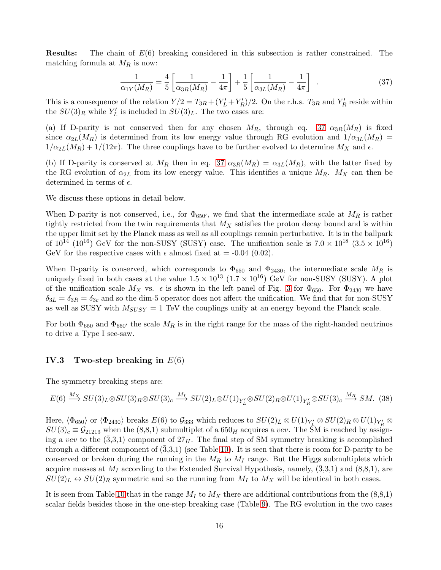**Results:** The chain of  $E(6)$  breaking considered in this subsection is rather constrained. The matching formula at  $M_R$  is now:

<span id="page-15-0"></span>
$$
\frac{1}{\alpha_{1Y}(M_R)} = \frac{4}{5} \left[ \frac{1}{\alpha_{3R}(M_R)} - \frac{1}{4\pi} \right] + \frac{1}{5} \left[ \frac{1}{\alpha_{3L}(M_R)} - \frac{1}{4\pi} \right] . \tag{37}
$$

This is a consequence of the relation  $Y/2 = T_{3R} + (Y_L' + Y_R')/2$ . On the r.h.s.  $T_{3R}$  and  $Y_R'$  reside within the  $SU(3)_R$  while  $Y'_L$  is included in  $SU(3)_L$ . The two cases are:

(a) If D-parity is not conserved then for any chosen  $M_R$ , through eq. [37](#page-15-0)  $\alpha_{3R}(M_R)$  is fixed since  $\alpha_{2L}(M_R)$  is determined from its low energy value through RG evolution and  $1/\alpha_{3L}(M_R)$  =  $1/\alpha_{2L}(M_R) + 1/(12\pi)$ . The three couplings have to be further evolved to determine  $M_X$  and  $\epsilon$ .

(b) If D-parity is conserved at  $M_R$  then in eq. [37](#page-15-0)  $\alpha_{3R}(M_R) = \alpha_{3L}(M_R)$ , with the latter fixed by the RG evolution of  $\alpha_{2L}$  from its low energy value. This identifies a unique  $M_R$ .  $M_X$  can then be determined in terms of  $\epsilon$ .

We discuss these options in detail below.

When D-parity is not conserved, i.e., for  $\Phi_{650'}$ , we find that the intermediate scale at  $M_R$  is rather tightly restricted from the twin requirements that  $M_X$  satisfies the proton decay bound and is within the upper limit set by the Planck mass as well as all couplings remain perturbative. It is in the ballpark of  $10^{14}$  ( $10^{16}$ ) GeV for the non-SUSY (SUSY) case. The unification scale is  $7.0 \times 10^{18}$  ( $3.5 \times 10^{16}$ ) GeV for the respective cases with  $\epsilon$  almost fixed at = -0.04 (0.02).

When D-parity is conserved, which corresponds to  $\Phi_{650}$  and  $\Phi_{2430}$ , the intermediate scale  $M_R$  is uniquely fixed in both cases at the value  $1.5 \times 10^{13}$   $(1.7 \times 10^{16})$  GeV for non-SUSY (SUSY). A plot of the unification scale  $M_X$  vs.  $\epsilon$  is shown in the left panel of Fig. [3](#page-18-0) for  $\Phi_{650}$ . For  $\Phi_{2430}$  we have  $\delta_{3L} = \delta_{3R} = \delta_{3c}$  and so the dim-5 operator does not affect the unification. We find that for non-SUSY as well as SUSY with  $M_{SUSY} = 1$  TeV the couplings unify at an energy beyond the Planck scale.

For both  $\Phi_{650}$  and  $\Phi_{650'}$  the scale  $M_R$  is in the right range for the mass of the right-handed neutrinos to drive a Type I see-saw.

### IV.3 Two-step breaking in  $E(6)$

The symmetry breaking steps are:

$$
E(6) \xrightarrow{M_X} SU(3)_L \otimes SU(3)_R \otimes SU(3)_c \xrightarrow{M_I} SU(2)_L \otimes U(1)_{Y'_L} \otimes SU(2)_R \otimes U(1)_{Y'_R} \otimes SU(3)_c \xrightarrow{M_R} SM. \tag{38}
$$

 $\rm{Here},\, \langle\Phi_{650}\rangle \,\, or \,\, \langle\Phi_{2430}\rangle \,\, breaks \,\, E(6) \,\, to \,\, \mathcal{G}_{333} \,\, which \,\, reduces \,\, to \,\, SU(2)_L \otimes U(1)_{Y'_L} \otimes SU(2)_R \otimes U(1)_{Y'_R} \otimes$  $SU(3)_c \equiv \mathcal{G}_{21213}$  when the  $(8,8,1)$  submultiplet of a  $650_H$  acquires a vev. The SM is reached by assigning a vev to the  $(\bar{3},3,1)$  component of  $27<sub>H</sub>$ . The final step of SM symmetry breaking is accomplished through a different component of  $(3,3,1)$  (see Table [10\)](#page-16-0). It is seen that there is room for D-parity to be conserved or broken during the running in the  $M_R$  to  $M_I$  range. But the Higgs submultiplets which acquire masses at  $M_I$  according to the Extended Survival Hypothesis, namely,  $(3,3,1)$  and  $(8,8,1)$ , are  $SU(2)_L \leftrightarrow SU(2)_R$  symmetric and so the running from  $M_I$  to  $M_X$  will be identical in both cases.

It is seen from Table [10](#page-16-0) that in the range  $M_I$  to  $M_X$  there are additional contributions from the (8,8,1) scalar fields besides those in the one-step breaking case (Table [9\)](#page-14-1). The RG evolution in the two cases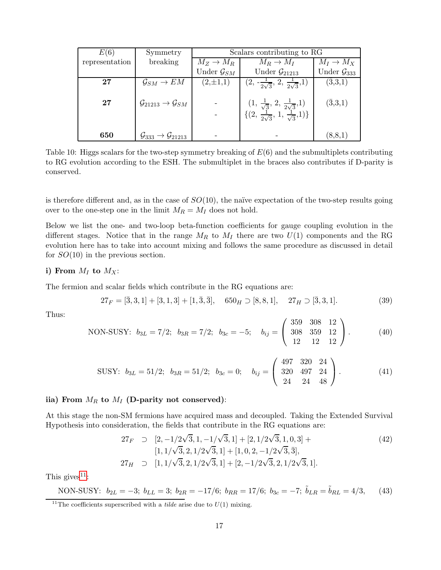| E(6)           | Symmetry                                            | Scalars contributing to RG |                                                                                                                  |                           |  |
|----------------|-----------------------------------------------------|----------------------------|------------------------------------------------------------------------------------------------------------------|---------------------------|--|
| representation | breaking                                            | $M_Z \rightarrow M_R$      | $M_R \to M_I$                                                                                                    | $M_I \to M_X$             |  |
|                |                                                     | Under $\mathcal{G}_{SM}$   | Under $\mathcal{G}_{21213}$                                                                                      | Under $\mathcal{G}_{333}$ |  |
| $27\,$         | $\mathcal{G}_{SM} \to EM$                           | $(2,\pm 1,1)$              | $(2, -\frac{1}{2\sqrt{3}}, 2, \frac{1}{2\sqrt{3}}, 1)$                                                           | $(\bar{3},3,1)$           |  |
|                |                                                     |                            |                                                                                                                  |                           |  |
| 27             | $\mathcal{G}_{21213} \rightarrow \mathcal{G}_{SM}$  |                            |                                                                                                                  | $(\bar{3},3,1)$           |  |
|                |                                                     |                            | $(1, \frac{1}{\sqrt{3}}, 2, \frac{1}{2\sqrt{3}}, 1)$<br>{ $(2, \frac{1}{2\sqrt{3}}, 1, \frac{1}{\sqrt{3}}, 1)$ } |                           |  |
|                |                                                     |                            |                                                                                                                  |                           |  |
| 650            | $\mathcal{G}_{333} \rightarrow \mathcal{G}_{21213}$ |                            |                                                                                                                  | (8, 8, 1)                 |  |

<span id="page-16-0"></span>Table 10: Higgs scalars for the two-step symmetry breaking of  $E(6)$  and the submultiplets contributing to RG evolution according to the ESH. The submultiplet in the braces also contributes if D-parity is conserved.

is therefore different and, as in the case of  $SO(10)$ , the naïve expectation of the two-step results going over to the one-step one in the limit  $M_R = M_I$  does not hold.

Below we list the one- and two-loop beta-function coefficients for gauge coupling evolution in the different stages. Notice that in the range  $M_R$  to  $M_I$  there are two  $U(1)$  components and the RG evolution here has to take into account mixing and follows the same procedure as discussed in detail for  $SO(10)$  in the previous section.

### i) From  $M_I$  to  $M_X$ :

The fermion and scalar fields which contribute in the RG equations are:

$$
27_F = [\bar{3}, 3, 1] + [3, 1, 3] + [1, \bar{3}, \bar{3}], \quad 650_H \supset [8, 8, 1], \quad 27_H \supset [\bar{3}, 3, 1]. \tag{39}
$$

Thus:

NON-SUSY: 
$$
b_{3L} = 7/2
$$
;  $b_{3R} = 7/2$ ;  $b_{3c} = -5$ ;  $b_{ij} = \begin{pmatrix} 359 & 308 & 12 \\ 308 & 359 & 12 \\ 12 & 12 & 12 \end{pmatrix}$ . (40)

SUSY: 
$$
b_{3L} = 51/2
$$
;  $b_{3R} = 51/2$ ;  $b_{3c} = 0$ ;  $b_{ij} = \begin{pmatrix} 497 & 320 & 24 \ 320 & 497 & 24 \ 24 & 24 & 48 \end{pmatrix}$ . (41)

### iia) From  $M_R$  to  $M_I$  (D-parity not conserved):

At this stage the non-SM fermions have acquired mass and decoupled. Taking the Extended Survival Hypothesis into consideration, the fields that contribute in the RG equations are:

$$
27_F \supset [2, -1/2\sqrt{3}, 1, -1/\sqrt{3}, 1] + [2, 1/2\sqrt{3}, 1, 0, 3] + [1, 1/\sqrt{3}, 2, 1/2\sqrt{3}, 1] + [1, 0, 2, -1/2\sqrt{3}, \overline{3}],
$$
  
\n
$$
27_H \supset [1, 1/\sqrt{3}, 2, 1/2\sqrt{3}, 1] + [2, -1/2\sqrt{3}, 2, 1/2\sqrt{3}, 1].
$$
\n(42)

This gives<sup> $11$ </sup>:

NON-SUSY: 
$$
b_{2L} = -3
$$
;  $b_{LL} = 3$ ;  $b_{2R} = -17/6$ ;  $b_{RR} = 17/6$ ;  $b_{3c} = -7$ ;  $\tilde{b}_{LR} = \tilde{b}_{RL} = 4/3$ , (43)

<span id="page-16-1"></span><sup>&</sup>lt;sup>11</sup>The coefficients superscribed with a *tilde* arise due to  $U(1)$  mixing.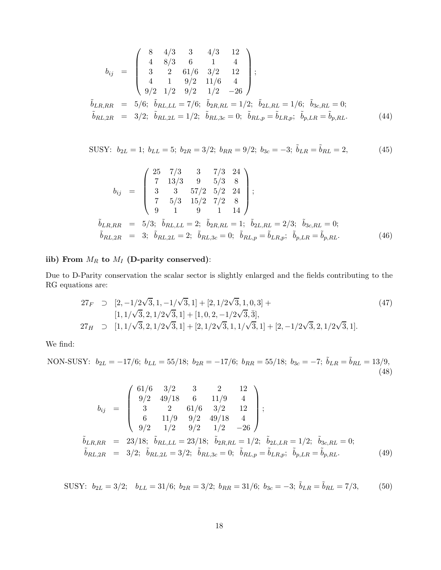$$
b_{ij} = \begin{pmatrix} 8 & 4/3 & 3 & 4/3 & 12 \\ 4 & 8/3 & 6 & 1 & 4 \\ 3 & 2 & 61/6 & 3/2 & 12 \\ 4 & 1 & 9/2 & 11/6 & 4 \\ 9/2 & 1/2 & 9/2 & 1/2 & -26 \end{pmatrix};
$$
  
\n
$$
\tilde{b}_{LR,RR} = 5/6; \quad \tilde{b}_{RL,LL} = 7/6; \quad \tilde{b}_{2R,RL} = 1/2; \quad \tilde{b}_{2L,RL} = 1/6; \quad \tilde{b}_{3c,RL} = 0;
$$
  
\n
$$
\tilde{b}_{RL,2R} = 3/2; \quad \tilde{b}_{RL,2L} = 1/2; \quad \tilde{b}_{RL,3c} = 0; \quad \tilde{b}_{RL,p} = \tilde{b}_{LR,p}; \quad \tilde{b}_{p,LR} = \tilde{b}_{p,RL}. \tag{44}
$$

SUSY: 
$$
b_{2L} = 1
$$
;  $b_{LL} = 5$ ;  $b_{2R} = 3/2$ ;  $b_{RR} = 9/2$ ;  $b_{3c} = -3$ ;  $\tilde{b}_{LR} = \tilde{b}_{RL} = 2$ , (45)

$$
b_{ij} = \begin{pmatrix} 25 & 7/3 & 3 & 7/3 & 24 \\ 7 & 13/3 & 9 & 5/3 & 8 \\ 3 & 3 & 57/2 & 5/2 & 24 \\ 7 & 5/3 & 15/2 & 7/2 & 8 \\ 9 & 1 & 9 & 1 & 14 \end{pmatrix};
$$
  
\n
$$
\tilde{b}_{LR,RR} = 5/3; \quad \tilde{b}_{RL,LL} = 2; \quad \tilde{b}_{2R,RL} = 1; \quad \tilde{b}_{2L,RL} = 2/3; \quad \tilde{b}_{3c,RL} = 0;
$$
  
\n
$$
\tilde{b}_{RL,2R} = 3; \quad \tilde{b}_{RL,2L} = 2; \quad \tilde{b}_{RL,3c} = 0; \quad \tilde{b}_{RL,p} = \tilde{b}_{LR,p}; \quad \tilde{b}_{p,LR} = \tilde{b}_{p,RL}. \tag{46}
$$

# iib) From  $M_R$  to  $M_I$  (D-parity conserved):

Due to D-Parity conservation the scalar sector is slightly enlarged and the fields contributing to the RG equations are:

$$
27_F \supset [2, -1/2\sqrt{3}, 1, -1/\sqrt{3}, 1] + [2, 1/2\sqrt{3}, 1, 0, 3] +
$$
  
\n
$$
[1, 1/\sqrt{3}, 2, 1/2\sqrt{3}, 1] + [1, 0, 2, -1/2\sqrt{3}, \overline{3}],
$$
  
\n
$$
27_H \supset [1, 1/\sqrt{3}, 2, 1/2\sqrt{3}, 1] + [2, 1/2\sqrt{3}, 1, 1/\sqrt{3}, 1] + [2, -1/2\sqrt{3}, 2, 1/2\sqrt{3}, 1].
$$
\n(47)

We find:

NON-SUSY: 
$$
b_{2L} = -17/6
$$
;  $b_{LL} = 55/18$ ;  $b_{2R} = -17/6$ ;  $b_{RR} = 55/18$ ;  $b_{3c} = -7$ ;  $\tilde{b}_{LR} = \tilde{b}_{RL} = 13/9$ , (48)

$$
b_{ij} = \begin{pmatrix} 61/6 & 3/2 & 3 & 2 & 12 \\ 9/2 & 49/18 & 6 & 11/9 & 4 \\ 3 & 2 & 61/6 & 3/2 & 12 \\ 6 & 11/9 & 9/2 & 49/18 & 4 \\ 9/2 & 1/2 & 9/2 & 1/2 & -26 \end{pmatrix};
$$
  

$$
\tilde{b}_{LR,RR} = 23/18; \tilde{b}_{RL,LL} = 23/18; \tilde{b}_{2R,RL} = 1/2; \tilde{b}_{2L,LR} = 1/2; \tilde{b}_{3c,RL} = 0;
$$
  

$$
\tilde{b}_{RL,2R} = 3/2; \tilde{b}_{RL,2L} = 3/2; \tilde{b}_{RL,3c} = 0; \tilde{b}_{RL,p} = \tilde{b}_{LR,p}; \tilde{b}_{p,LR} = \tilde{b}_{p,RL}.
$$
 (49)

SUSY:  $b_{2L} = 3/2$ ;  $b_{LL} = 31/6$ ;  $b_{2R} = 3/2$ ;  $b_{RR} = 31/6$ ;  $b_{3c} = -3$ ;  $\tilde{b}_{LR} = \tilde{b}_{RL} = 7/3$ , (50)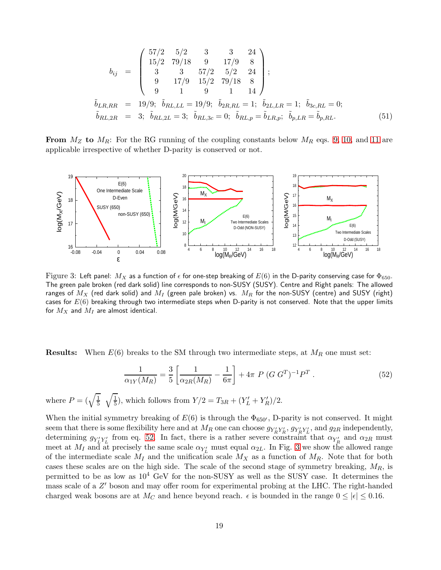$$
b_{ij} = \begin{pmatrix} 57/2 & 5/2 & 3 & 3 & 24 \\ 15/2 & 79/18 & 9 & 17/9 & 8 \\ 3 & 3 & 57/2 & 5/2 & 24 \\ 9 & 17/9 & 15/2 & 79/18 & 8 \\ 9 & 1 & 9 & 1 & 14 \end{pmatrix};
$$
  
\n
$$
\tilde{b}_{LR,RR} = 19/9; \ \tilde{b}_{RL,LL} = 19/9; \ \tilde{b}_{2R,RL} = 1; \ \tilde{b}_{2L,LR} = 1; \ \tilde{b}_{3c,RL} = 0;
$$
  
\n
$$
\tilde{b}_{RL,2R} = 3; \ \tilde{b}_{RL,2L} = 3; \ \tilde{b}_{RL,3c} = 0; \ \tilde{b}_{RL,p} = \tilde{b}_{LR,p}; \ \tilde{b}_{p,LR} = \tilde{b}_{p,RL}.
$$
  
\n(51)

**From**  $M_Z$  to  $M_R$ : For the RG running of the coupling constants below  $M_R$  eqs. [9,](#page-4-1) [10,](#page-4-2) and [11](#page-4-3) are applicable irrespective of whether D-parity is conserved or not.



<span id="page-18-0"></span>Figure 3: Left panel:  $M_X$  as a function of  $\epsilon$  for one-step breaking of  $E(6)$  in the D-parity conserving case for  $\Phi_{650}$ . The green pale broken (red dark solid) line corresponds to non-SUSY (SUSY). Centre and Right panels: The allowed ranges of  $M_X$  (red dark solid) and  $M_I$  (green pale broken) vs.  $M_R$  for the non-SUSY (centre) and SUSY (right) cases for  $E(6)$  breaking through two intermediate steps when D-parity is not conserved. Note that the upper limits for  $M_X$  and  $M_I$  are almost identical.

**Results:** When  $E(6)$  breaks to the SM through two intermediate steps, at  $M_R$  one must set:

<span id="page-18-1"></span>
$$
\frac{1}{\alpha_{1Y}(M_R)} = \frac{3}{5} \left[ \frac{1}{\alpha_{2R}(M_R)} - \frac{1}{6\pi} \right] + 4\pi \ P \ (G \ G^T)^{-1} P^T \ . \tag{52}
$$

where  $P = (\sqrt{\frac{1}{5}})$  $\frac{1}{5}$   $\sqrt{\frac{1}{5}}$  $(\frac{1}{5})$ , which follows from  $Y/2 = T_{3R} + (Y_L' + Y_R')/2$ .

When the initial symmetry breaking of  $E(6)$  is through the  $\Phi_{650'}$ , D-parity is not conserved. It might seem that there is some flexibility here and at  $M_R$  one can choose  $g_{Y'_R Y'_R}$ ,  $g_{Y'_R Y'_L}$ , and  $g_{2R}$  independently, determining  $g_{Y'_L Y'_L}$  from eq. [52.](#page-18-1) In fact, there is a rather severe constraint that  $\alpha_{Y'_R}$  and  $\alpha_{2R}$  must meet at  $M_I$  and at precisely the same scale  $\alpha_{Y'_L}$  must equal  $\alpha_{2L}$ . In Fig. [3](#page-18-0) we show the allowed range of the intermediate scale  $M_I$  and the unification scale  $M_X$  as a function of  $M_R$ . Note that for both cases these scales are on the high side. The scale of the second stage of symmetry breaking,  $M_R$ , is permitted to be as low as  $10^4$  GeV for the non-SUSY as well as the SUSY case. It determines the mass scale of a Z' boson and may offer room for experimental probing at the LHC. The right-handed charged weak bosons are at  $M_C$  and hence beyond reach.  $\epsilon$  is bounded in the range  $0 \leq |\epsilon| \leq 0.16$ .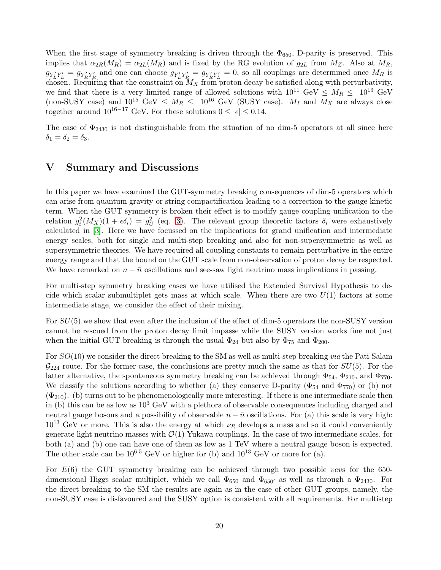When the first stage of symmetry breaking is driven through the  $\Phi_{650}$ , D-parity is preserved. This implies that  $\alpha_{2R}(M_R) = \alpha_{2L}(M_R)$  and is fixed by the RG evolution of  $g_{2L}$  from  $M_Z$ . Also at  $M_R$ ,  $g_{Y'_L Y'_L} = g_{Y'_R Y'_R}$  and one can choose  $g_{Y'_L Y'_R} = g_{Y'_R Y'_L} = 0$ , so all couplings are determined once  $M_R$  is chosen. Requiring that the constraint on  $M_X$  from proton decay be satisfied along with perturbativity, we find that there is a very limited range of allowed solutions with  $10^{11}$  GeV  $\leq M_R \leq 10^{13}$  GeV (non-SUSY case) and  $10^{15}$  GeV  $\leq M_R \leq 10^{16}$  GeV (SUSY case).  $M_I$  and  $M_X$  are always close together around  $10^{16-17}$  GeV. For these solutions  $0 \le |\epsilon| \le 0.14$ .

The case of  $\Phi_{2430}$  is not distinguishable from the situation of no dim-5 operators at all since here  $\delta_1 = \delta_2 = \delta_3.$ 

# V Summary and Discussions

In this paper we have examined the GUT-symmetry breaking consequences of dim-5 operators which can arise from quantum gravity or string compactification leading to a correction to the gauge kinetic term. When the GUT symmetry is broken their effect is to modify gauge coupling unification to the relation  $g_i^2(M_X)(1 + \epsilon \delta_i) = g_U^2$  (eq. [3\)](#page-1-2). The relevant group theoretic factors  $\delta_i$  were exhaustively calculated in [\[3\]](#page-21-1). Here we have focussed on the implications for grand unification and intermediate energy scales, both for single and multi-step breaking and also for non-supersymmetric as well as supersymmetric theories. We have required all coupling constants to remain perturbative in the entire energy range and that the bound on the GUT scale from non-observation of proton decay be respected. We have remarked on  $n - \bar{n}$  oscillations and see-saw light neutrino mass implications in passing.

For multi-step symmetry breaking cases we have utilised the Extended Survival Hypothesis to decide which scalar submultiplet gets mass at which scale. When there are two  $U(1)$  factors at some intermediate stage, we consider the effect of their mixing.

For  $SU(5)$  we show that even after the inclusion of the effect of dim-5 operators the non-SUSY version cannot be rescued from the proton decay limit impasse while the SUSY version works fine not just when the initial GUT breaking is through the usual  $\Phi_{24}$  but also by  $\Phi_{75}$  and  $\Phi_{200}$ .

For SO(10) we consider the direct breaking to the SM as well as multi-step breaking via the Pati-Salam  $\mathcal{G}_{224}$  route. For the former case, the conclusions are pretty much the same as that for  $SU(5)$ . For the latter alternative, the spontaneous symmetry breaking can be achieved through  $\Phi_{54}$ ,  $\Phi_{210}$ , and  $\Phi_{770}$ . We classify the solutions according to whether (a) they conserve D-parity ( $\Phi_{54}$  and  $\Phi_{770}$ ) or (b) not  $(\Phi_{210})$ . (b) turns out to be phenomenologically more interesting. If there is one intermediate scale then in (b) this can be as low as  $10^3$  GeV with a plethora of observable consequences including charged and neutral gauge bosons and a possibility of observable  $n - \bar{n}$  oscillations. For (a) this scale is very high:  $10^{13}$  GeV or more. This is also the energy at which  $\nu_R$  develops a mass and so it could conveniently generate light neutrino masses with  $\mathcal{O}(1)$  Yukawa couplings. In the case of two intermediate scales, for both (a) and (b) one can have one of them as low as 1 TeV where a neutral gauge boson is expected. The other scale can be  $10^{6.5}$  GeV or higher for (b) and  $10^{13}$  GeV or more for (a).

For  $E(6)$  the GUT symmetry breaking can be achieved through two possible vevs for the 650dimensional Higgs scalar multiplet, which we call  $\Phi_{650}$  and  $\Phi_{650'}$  as well as through a  $\Phi_{2430}$ . For the direct breaking to the SM the results are again as in the case of other GUT groups, namely, the non-SUSY case is disfavoured and the SUSY option is consistent with all requirements. For multistep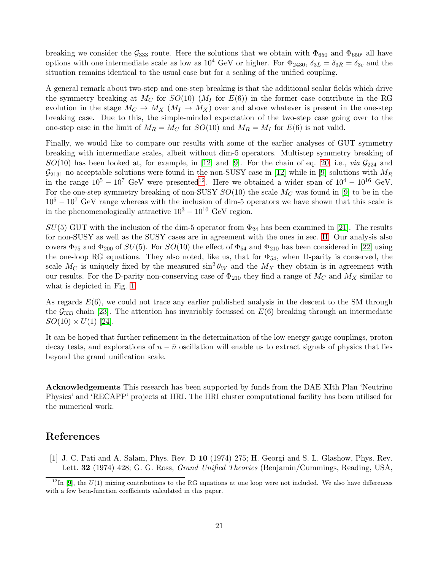breaking we consider the  $\mathcal{G}_{333}$  route. Here the solutions that we obtain with  $\Phi_{650}$  and  $\Phi_{650'}$  all have options with one intermediate scale as low as  $10^4$  GeV or higher. For  $\Phi_{2430}$ ,  $\delta_{3L} = \delta_{3R} = \delta_{3c}$  and the situation remains identical to the usual case but for a scaling of the unified coupling.

A general remark about two-step and one-step breaking is that the additional scalar fields which drive the symmetry breaking at  $M_C$  for  $SO(10)$  ( $M_I$  for  $E(6)$ ) in the former case contribute in the RG evolution in the stage  $M_C \to M_X$   $(M_I \to M_X)$  over and above whatever is present in the one-step breaking case. Due to this, the simple-minded expectation of the two-step case going over to the one-step case in the limit of  $M_R = M_C$  for  $SO(10)$  and  $M_R = M_I$  for  $E(6)$  is not valid.

Finally, we would like to compare our results with some of the earlier analyses of GUT symmetry breaking with intermediate scales, albeit without dim-5 operators. Multistep symmetry breaking of  $SO(10)$  has been looked at, for example, in [\[12\]](#page-21-10) and [\[9\]](#page-21-7). For the chain of eq. [20,](#page-9-1) i.e., via  $\mathcal{G}_{224}$  and  $\mathcal{G}_{2131}$  no acceptable solutions were found in the non-SUSY case in [\[12\]](#page-21-10) while in [\[9\]](#page-21-7) solutions with  $M_R$ in the range  $10^5 - 10^7$  GeV were presented<sup>[12](#page-20-1)</sup>. Here we obtained a wider span of  $10^4 - 10^{16}$  GeV. For the one-step symmetry breaking of non-SUSY  $SO(10)$  the scale  $M_C$  was found in [\[9\]](#page-21-7) to be in the  $10^5 - 10^7$  GeV range whereas with the inclusion of dim-5 operators we have shown that this scale is in the phenomenologically attractive  $10^3 - 10^{10}$  GeV region.

 $SU(5)$  GUT with the inclusion of the dim-5 operator from  $\Phi_{24}$  has been examined in [\[21\]](#page-21-19). The results for non-SUSY as well as the SUSY cases are in agreement with the ones in sec. [II.](#page-3-2) Our analysis also covers  $\Phi_{75}$  and  $\Phi_{200}$  of  $SU(5)$ . For  $SO(10)$  the effect of  $\Phi_{54}$  and  $\Phi_{210}$  has been considered in [\[22\]](#page-21-20) using the one-loop RG equations. They also noted, like us, that for  $\Phi_{54}$ , when D-parity is conserved, the scale  $M_C$  is uniquely fixed by the measured  $\sin^2 \theta_W$  and the  $M_X$  they obtain is in agreement with our results. For the D-parity non-conserving case of  $\Phi_{210}$  they find a range of  $M_C$  and  $M_X$  similar to what is depicted in Fig. [1.](#page-8-0)

As regards  $E(6)$ , we could not trace any earlier published analysis in the descent to the SM through the  $\mathcal{G}_{333}$  chain [\[23\]](#page-22-0). The attention has invariably focussed on  $E(6)$  breaking through an intermediate  $SO(10) \times U(1)$  [\[24\]](#page-22-1).

It can be hoped that further refinement in the determination of the low energy gauge couplings, proton decay tests, and explorations of  $n - \bar{n}$  oscillation will enable us to extract signals of physics that lies beyond the grand unification scale.

Acknowledgements This research has been supported by funds from the DAE XIth Plan 'Neutrino Physics' and 'RECAPP' projects at HRI. The HRI cluster computational facility has been utilised for the numerical work.

# <span id="page-20-0"></span>References

[1] J. C. Pati and A. Salam, Phys. Rev. D 10 (1974) 275; H. Georgi and S. L. Glashow, Phys. Rev. Lett. 32 (1974) 428; G. G. Ross, Grand Unified Theories (Benjamin/Cummings, Reading, USA,

<span id="page-20-1"></span> $12$ In [\[9\]](#page-21-7), the  $U(1)$  mixing contributions to the RG equations at one loop were not included. We also have differences with a few beta-function coefficients calculated in this paper.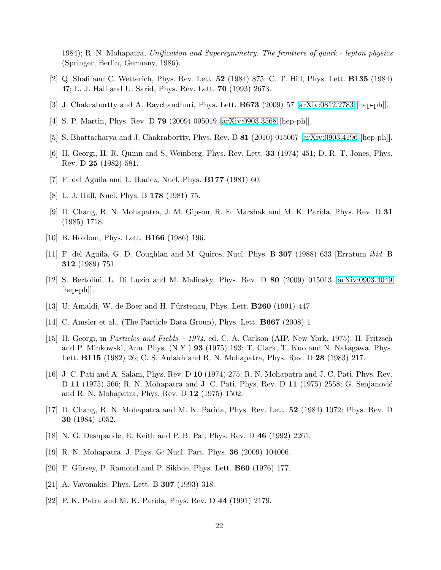1984); R. N. Mohapatra, Unification and Supersymmetry. The frontiers of quark - lepton physics (Springer, Berlin, Germany, 1986).

- <span id="page-21-1"></span><span id="page-21-0"></span>[2] Q. Shafi and C. Wetterich, Phys. Rev. Lett. 52 (1984) 875; C. T. Hill, Phys. Lett. B135 (1984) 47; L. J. Hall and U. Sarid, Phys. Rev. Lett. 70 (1993) 2673.
- <span id="page-21-3"></span>[3] J. Chakrabortty and A. Raychaudhuri, Phys. Lett. B673 (2009) 57 [\[arXiv:0812.2783](http://arxiv.org/abs/0812.2783) [hep-ph]].
- <span id="page-21-4"></span>[4] S. P. Martin, Phys. Rev. D 79 (2009) 095019 [\[arXiv:0903.3568](http://arxiv.org/abs/0903.3568) [hep-ph]].
- <span id="page-21-2"></span>[5] S. Bhattacharya and J. Chakrabortty, Phys. Rev. D 81 (2010) 015007 [\[arXiv:0903.4196](http://arxiv.org/abs/0903.4196) [hep-ph]].
- <span id="page-21-5"></span>[6] H. Georgi, H. R. Quinn and S, Weinberg, Phys. Rev. Lett. 33 (1974) 451; D. R. T. Jones, Phys. Rev. D 25 (1982) 581.
- <span id="page-21-6"></span>[7] F. del Aguila and L. Ibañez, Nucl. Phys.  $\mathbf{B177}$  (1981) 60.
- <span id="page-21-7"></span>[8] L. J. Hall, Nucl. Phys. B 178 (1981) 75.
- [9] D. Chang, R. N. Mohapatra, J. M. Gipson, R. E. Marshak and M. K. Parida, Phys. Rev. D 31 (1985) 1718.
- <span id="page-21-9"></span><span id="page-21-8"></span>[10] B. Holdom, Phys. Lett. **B166** (1986) 196.
- <span id="page-21-10"></span>[11] F. del Aguila, G. D. Coughlan and M. Quiros, Nucl. Phys. B 307 (1988) 633 [Erratum ibid. B 312 (1989) 751.
- <span id="page-21-11"></span>[12] S. Bertolini, L. Di Luzio and M. Malinsky, Phys. Rev. D 80 (2009) 015013 [\[arXiv:0903.4049](http://arxiv.org/abs/0903.4049)  $\vert \text{hep-ph} \vert$ .
- <span id="page-21-12"></span>[13] U. Amaldi, W. de Boer and H. Fürstenau, Phys. Lett.  $B260$  (1991) 447.
- <span id="page-21-13"></span>[14] C. Amsler et al., (The Particle Data Group), Phys. Lett. B667 (2008) 1.
- [15] H. Georgi, in Particles and Fields 1974, ed. C. A. Carlson (AIP, New York, 1975); H. Fritzsch and P. Minkowski, Ann. Phys. (N.Y.) 93 (1975) 193; T. Clark, T. Kuo and N. Nakagawa, Phys. Lett. B115 (1982) 26; C. S. Aulakh and R. N. Mohapatra, Phys. Rev. D 28 (1983) 217.
- <span id="page-21-14"></span>[16] J. C. Pati and A. Salam, Phys. Rev. D 10 (1974) 275; R. N. Mohapatra and J. C. Pati, Phys. Rev. D 11 (1975) 566; R. N. Mohapatra and J. C. Pati, Phys. Rev. D 11 (1975) 2558; G. Senjanović and R. N. Mohapatra, Phys. Rev. D 12 (1975) 1502.
- <span id="page-21-15"></span>[17] D. Chang, R. N. Mohapatra and M. K. Parida, Phys. Rev. Lett. 52 (1984) 1072; Phys. Rev. D 30 (1984) 1052.
- <span id="page-21-17"></span><span id="page-21-16"></span>[18] N. G. Deshpande, E. Keith and P. B. Pal, Phys. Rev. D 46 (1992) 2261.
- <span id="page-21-18"></span>[19] R. N. Mohapatra, J. Phys. G: Nucl. Part. Phys. 36 (2009) 104006.
- <span id="page-21-19"></span>[20] F. Gürsey, P. Ramond and P. Sikivie, Phys. Lett. **B60** (1976) 177.
- <span id="page-21-20"></span>[21] A. Vayonakis, Phys. Lett. B 307 (1993) 318.
- [22] P. K. Patra and M. K. Parida, Phys. Rev. D 44 (1991) 2179.